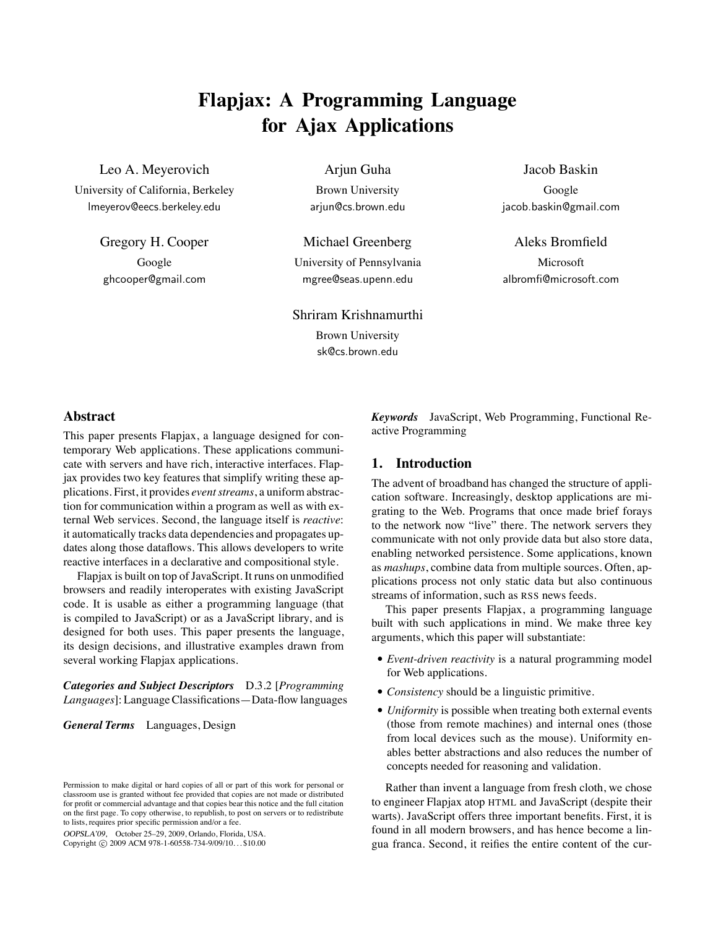# **Flapjax: A Programming Language for Ajax Applications**

Leo A. Meyerovich

University of California, Berkeley lmeyerov@eecs.berkeley.edu

> Gregory H. Cooper Google ghcooper@gmail.com

Arjun Guha Brown University arjun@cs.brown.edu

Michael Greenberg University of Pennsylvania mgree@seas.upenn.edu

Shriram Krishnamurthi

Brown University sk@cs.brown.edu

Jacob Baskin

Google jacob.baskin@gmail.com

Aleks Bromfield Microsoft albromfi@microsoft.com

# **Abstract**

This paper presents Flapjax, a language designed for contemporary Web applications. These applications communicate with servers and have rich, interactive interfaces. Flapjax provides two key features that simplify writing these applications. First, it provides *event streams*, a uniform abstraction for communication within a program as well as with external Web services. Second, the language itself is *reactive*: it automatically tracks data dependencies and propagates updates along those dataflows. This allows developers to write reactive interfaces in a declarative and compositional style.

Flapjax is built on top of JavaScript. It runs on unmodified browsers and readily interoperates with existing JavaScript code. It is usable as either a programming language (that is compiled to JavaScript) or as a JavaScript library, and is designed for both uses. This paper presents the language, its design decisions, and illustrative examples drawn from several working Flapjax applications.

*Categories and Subject Descriptors* D.3.2 [*Programming Languages*]: Language Classifications—Data-flow languages

*General Terms* Languages, Design

OOPSLA'09, October 25–29, 2009, Orlando, Florida, USA.

Copyright © 2009 ACM 978-1-60558-734-9/09/10...\$10.00

*Keywords* JavaScript, Web Programming, Functional Reactive Programming

# **1. Introduction**

The advent of broadband has changed the structure of application software. Increasingly, desktop applications are migrating to the Web. Programs that once made brief forays to the network now "live" there. The network servers they communicate with not only provide data but also store data, enabling networked persistence. Some applications, known as *mashups*, combine data from multiple sources. Often, applications process not only static data but also continuous streams of information, such as RSS news feeds.

This paper presents Flapjax, a programming language built with such applications in mind. We make three key arguments, which this paper will substantiate:

- *• Event-driven reactivity* is a natural programming model for Web applications.
- *• Consistency* should be a linguistic primitive.
- *• Uniformity* is possible when treating both external events (those from remote machines) and internal ones (those from local devices such as the mouse). Uniformity enables better abstractions and also reduces the number of concepts needed for reasoning and validation.

Rather than invent a language from fresh cloth, we chose to engineer Flapjax atop HTML and JavaScript (despite their warts). JavaScript offers three important benefits. First, it is found in all modern browsers, and has hence become a lingua franca. Second, it reifies the entire content of the cur-

Permission to make digital or hard copies of all or part of this work for personal or classroom use is granted without fee provided that copies are not made or distributed for profit or commercial advantage and that copies bear this notice and the full citation on the first page. To copy otherwise, to republish, to post on servers or to redistribute to lists, requires prior specific permission and/or a fee.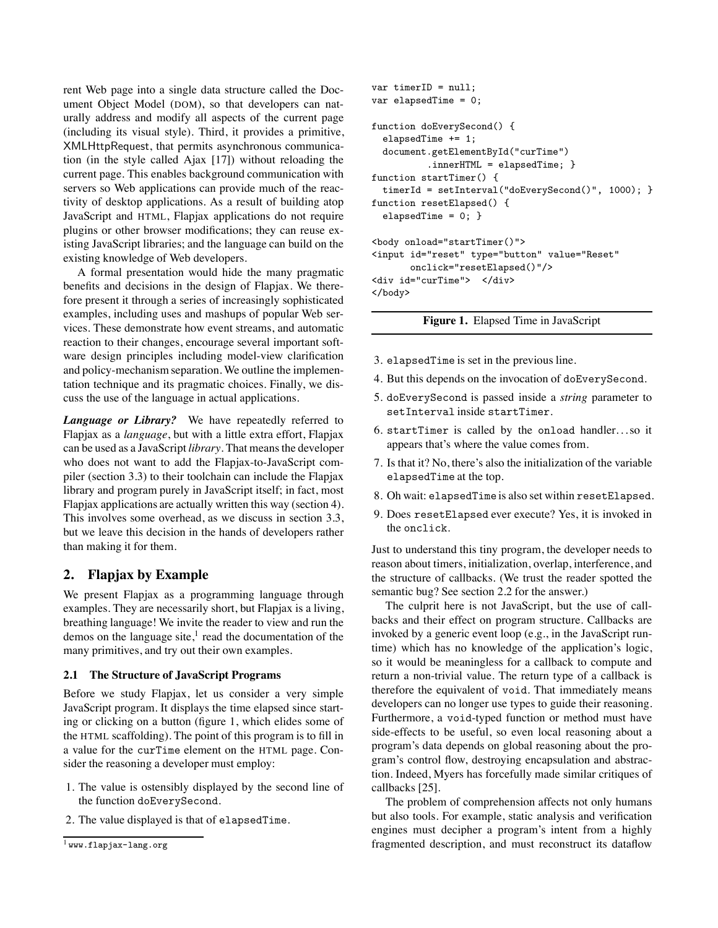rent Web page into a single data structure called the Document Object Model (DOM), so that developers can naturally address and modify all aspects of the current page (including its visual style). Third, it provides a primitive, XMLHttpRequest, that permits asynchronous communication (in the style called Ajax [17]) without reloading the current page. This enables background communication with servers so Web applications can provide much of the reactivity of desktop applications. As a result of building atop JavaScript and HTML, Flapjax applications do not require plugins or other browser modifications; they can reuse existing JavaScript libraries; and the language can build on the existing knowledge of Web developers.

A formal presentation would hide the many pragmatic benefits and decisions in the design of Flapjax. We therefore present it through a series of increasingly sophisticated examples, including uses and mashups of popular Web services. These demonstrate how event streams, and automatic reaction to their changes, encourage several important software design principles including model-view clarification and policy-mechanism separation. We outline the implementation technique and its pragmatic choices. Finally, we discuss the use of the language in actual applications.

*Language or Library?* We have repeatedly referred to Flapjax as a *language*, but with a little extra effort, Flapjax can be used as a JavaScript *library*. That means the developer who does not want to add the Flapjax-to-JavaScript compiler (section 3.3) to their toolchain can include the Flapjax library and program purely in JavaScript itself; in fact, most Flapjax applications are actually written this way (section 4). This involves some overhead, as we discuss in section 3.3, but we leave this decision in the hands of developers rather than making it for them.

# **2. Flapjax by Example**

We present Flapjax as a programming language through examples. They are necessarily short, but Flapjax is a living, breathing language! We invite the reader to view and run the demos on the language site, $\frac{1}{1}$  read the documentation of the many primitives, and try out their own examples.

## **2.1 The Structure of JavaScript Programs**

Before we study Flapjax, let us consider a very simple JavaScript program. It displays the time elapsed since starting or clicking on a button (figure 1, which elides some of the HTML scaffolding). The point of this program is to fill in a value for the curTime element on the HTML page. Consider the reasoning a developer must employ:

- 1. The value is ostensibly displayed by the second line of the function doEverySecond.
- 2. The value displayed is that of elapsedTime.

```
<sup>1</sup>www.flapjax-lang.org
```

```
var timerID = null;
var elapsedTime = 0;
function doEverySecond() {
  elapsedTime += 1;
  document.getElementById("curTime")
          .innerHTML = elapsedTime; }
function startTimer() {
  timerId = setInterval("doEverySecond()", 1000); }
function resetElapsed() {
  elapsedTime = 0; }
<body onload="startTimer()">
<input id="reset" type="button" value="Reset"
       onclick="resetElapsed()"/>
<div id="curTime"> </div>
```
</body>

**Figure 1.** Elapsed Time in JavaScript

- 3. elapsedTime is set in the previous line.
- 4. But this depends on the invocation of doEverySecond.
- 5. doEverySecond is passed inside a *string* parameter to setInterval inside startTimer.
- 6. startTimer is called by the onload handler. . . so it appears that's where the value comes from.
- 7. Is that it? No, there's also the initialization of the variable elapsedTime at the top.
- 8. Oh wait: elapsedTime is also set within resetElapsed.
- 9. Does resetElapsed ever execute? Yes, it is invoked in the onclick.

Just to understand this tiny program, the developer needs to reason about timers, initialization, overlap, interference, and the structure of callbacks. (We trust the reader spotted the semantic bug? See section 2.2 for the answer.)

The culprit here is not JavaScript, but the use of callbacks and their effect on program structure. Callbacks are invoked by a generic event loop (e.g., in the JavaScript runtime) which has no knowledge of the application's logic, so it would be meaningless for a callback to compute and return a non-trivial value. The return type of a callback is therefore the equivalent of void. That immediately means developers can no longer use types to guide their reasoning. Furthermore, a void-typed function or method must have side-effects to be useful, so even local reasoning about a program's data depends on global reasoning about the program's control flow, destroying encapsulation and abstraction. Indeed, Myers has forcefully made similar critiques of callbacks [25].

The problem of comprehension affects not only humans but also tools. For example, static analysis and verification engines must decipher a program's intent from a highly fragmented description, and must reconstruct its dataflow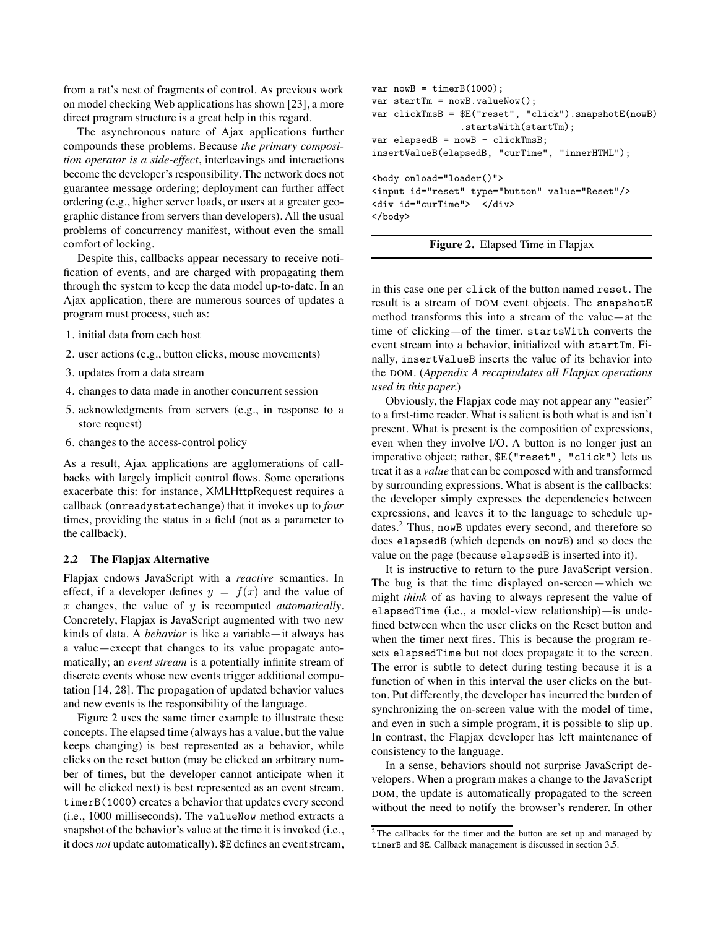from a rat's nest of fragments of control. As previous work on model checking Web applications has shown [23], a more direct program structure is a great help in this regard.

The asynchronous nature of Ajax applications further compounds these problems. Because *the primary composition operator is a side-effect*, interleavings and interactions become the developer's responsibility. The network does not guarantee message ordering; deployment can further affect ordering (e.g., higher server loads, or users at a greater geographic distance from servers than developers). All the usual problems of concurrency manifest, without even the small comfort of locking.

Despite this, callbacks appear necessary to receive notification of events, and are charged with propagating them through the system to keep the data model up-to-date. In an Ajax application, there are numerous sources of updates a program must process, such as:

- 1. initial data from each host
- 2. user actions (e.g., button clicks, mouse movements)
- 3. updates from a data stream
- 4. changes to data made in another concurrent session
- 5. acknowledgments from servers (e.g., in response to a store request)
- 6. changes to the access-control policy

As a result, Ajax applications are agglomerations of callbacks with largely implicit control flows. Some operations exacerbate this: for instance, XMLHttpRequest requires a callback (onreadystatechange) that it invokes up to *four* times, providing the status in a field (not as a parameter to the callback).

#### **2.2 The Flapjax Alternative**

Flapjax endows JavaScript with a *reactive* semantics. In effect, if a developer defines  $y = f(x)$  and the value of *x* changes, the value of *y* is recomputed *automatically*. Concretely, Flapjax is JavaScript augmented with two new kinds of data. A *behavior* is like a variable—it always has a value—except that changes to its value propagate automatically; an *event stream* is a potentially infinite stream of discrete events whose new events trigger additional computation [14, 28]. The propagation of updated behavior values and new events is the responsibility of the language.

Figure 2 uses the same timer example to illustrate these concepts. The elapsed time (always has a value, but the value keeps changing) is best represented as a behavior, while clicks on the reset button (may be clicked an arbitrary number of times, but the developer cannot anticipate when it will be clicked next) is best represented as an event stream. timerB(1000) creates a behavior that updates every second (i.e., 1000 milliseconds). The valueNow method extracts a snapshot of the behavior's value at the time it is invoked (i.e., it does *not* update automatically). \$E defines an event stream,

```
var nowB = timeP(1000);var startTm = nowB.valueNow();
var clickTmsB = $E("reset", "click").snapshotE(nowB)
                .startsWith(startTm);
var elapsedB = nowB - clickTmsB;insertValueB(elapsedB, "curTime", "innerHTML");
<body onload="loader()">
<input id="reset" type="button" value="Reset"/>
<div id="curTime"> </div>
</body>
```


in this case one per click of the button named reset. The result is a stream of DOM event objects. The snapshotE method transforms this into a stream of the value—at the time of clicking—of the timer. startsWith converts the event stream into a behavior, initialized with startTm. Finally, insertValueB inserts the value of its behavior into the DOM. (*Appendix A recapitulates all Flapjax operations used in this paper.*)

Obviously, the Flapjax code may not appear any "easier" to a first-time reader. What is salient is both what is and isn't present. What is present is the composition of expressions, even when they involve I/O. A button is no longer just an imperative object; rather, \$E("reset", "click") lets us treat it as a *value* that can be composed with and transformed by surrounding expressions. What is absent is the callbacks: the developer simply expresses the dependencies between expressions, and leaves it to the language to schedule updates.<sup>2</sup> Thus, nowB updates every second, and therefore so does elapsedB (which depends on nowB) and so does the value on the page (because elapsedB is inserted into it).

It is instructive to return to the pure JavaScript version. The bug is that the time displayed on-screen—which we might *think* of as having to always represent the value of elapsedTime (i.e., a model-view relationship)—is undefined between when the user clicks on the Reset button and when the timer next fires. This is because the program resets elapsedTime but not does propagate it to the screen. The error is subtle to detect during testing because it is a function of when in this interval the user clicks on the button. Put differently, the developer has incurred the burden of synchronizing the on-screen value with the model of time, and even in such a simple program, it is possible to slip up. In contrast, the Flapjax developer has left maintenance of consistency to the language.

In a sense, behaviors should not surprise JavaScript developers. When a program makes a change to the JavaScript DOM, the update is automatically propagated to the screen without the need to notify the browser's renderer. In other

 $2$ The callbacks for the timer and the button are set up and managed by timerB and \$E. Callback management is discussed in section 3.5.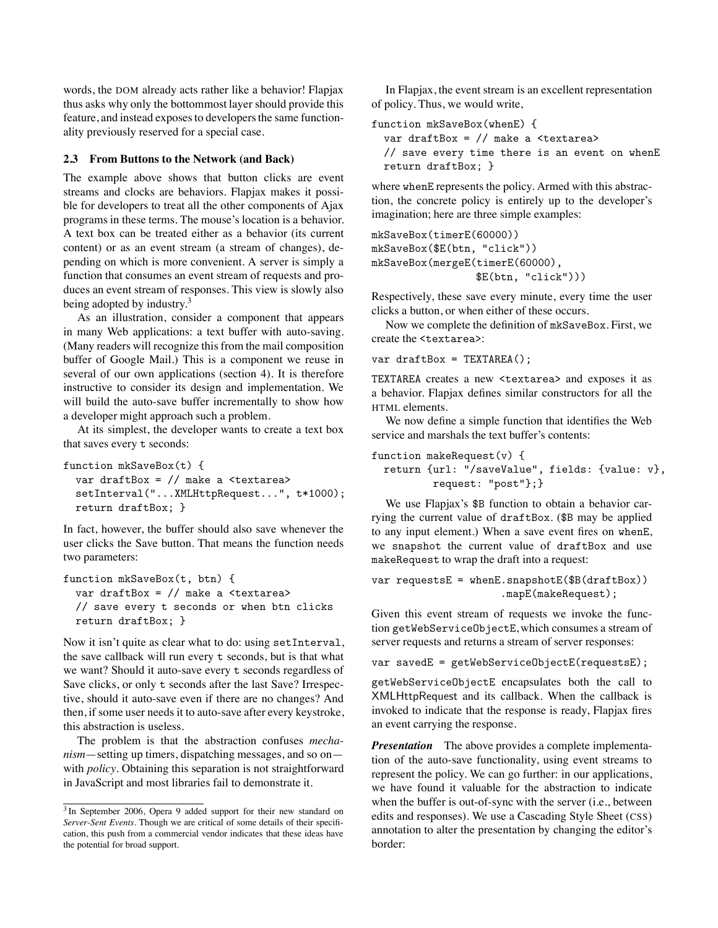words, the DOM already acts rather like a behavior! Flapjax thus asks why only the bottommost layer should provide this feature, and instead exposes to developers the same functionality previously reserved for a special case.

## **2.3 From Buttons to the Network (and Back)**

The example above shows that button clicks are event streams and clocks are behaviors. Flapjax makes it possible for developers to treat all the other components of Ajax programs in these terms. The mouse's location is a behavior. A text box can be treated either as a behavior (its current content) or as an event stream (a stream of changes), depending on which is more convenient. A server is simply a function that consumes an event stream of requests and produces an event stream of responses. This view is slowly also being adopted by industry.<sup>3</sup>

As an illustration, consider a component that appears in many Web applications: a text buffer with auto-saving. (Many readers will recognize this from the mail composition buffer of Google Mail.) This is a component we reuse in several of our own applications (section 4). It is therefore instructive to consider its design and implementation. We will build the auto-save buffer incrementally to show how a developer might approach such a problem.

At its simplest, the developer wants to create a text box that saves every t seconds:

```
function mkSaveBox(t) {
  var draftBox = // make a <textarea>
 setInterval("...XMLHttpRequest...", t*1000);
 return draftBox; }
```
In fact, however, the buffer should also save whenever the user clicks the Save button. That means the function needs two parameters:

```
function mkSaveBox(t, btn) {
 var draftBox = // make a <textarea>
 // save every t seconds or when btn clicks
 return draftBox; }
```
Now it isn't quite as clear what to do: using setInterval, the save callback will run every t seconds, but is that what we want? Should it auto-save every t seconds regardless of Save clicks, or only t seconds after the last Save? Irrespective, should it auto-save even if there are no changes? And then, if some user needs it to auto-save after every keystroke, this abstraction is useless.

The problem is that the abstraction confuses *mechanism*—setting up timers, dispatching messages, and so on with *policy*. Obtaining this separation is not straightforward in JavaScript and most libraries fail to demonstrate it.

In Flapjax, the event stream is an excellent representation of policy. Thus, we would write,

function mkSaveBox(whenE) {

var draftBox = // make a <textarea> // save every time there is an event on whenE return draftBox; }

where whenE represents the policy. Armed with this abstraction, the concrete policy is entirely up to the developer's imagination; here are three simple examples:

mkSaveBox(timerE(60000)) mkSaveBox(\$E(btn, "click")) mkSaveBox(mergeE(timerE(60000), \$E(btn, "click")))

Respectively, these save every minute, every time the user clicks a button, or when either of these occurs.

Now we complete the definition of mkSaveBox. First, we create the <textarea>:

var draftBox = TEXTAREA();

TEXTAREA creates a new <textarea> and exposes it as a behavior. Flapjax defines similar constructors for all the HTML elements.

We now define a simple function that identifies the Web service and marshals the text buffer's contents:

```
function makeRequest(v) {
 return {url: "/saveValue", fields: {value: v},
          request: "post"};}
```
We use Flapjax's \$B function to obtain a behavior carrying the current value of draftBox. (\$B may be applied to any input element.) When a save event fires on whenE, we snapshot the current value of draftBox and use makeRequest to wrap the draft into a request:

```
var requestsE = whenE.snapshotE($B(draftBox))
                     .mapE(makeRequest);
```
Given this event stream of requests we invoke the function getWebServiceObjectE, which consumes a stream of server requests and returns a stream of server responses:

var savedE = getWebServiceObjectE(requestsE);

getWebServiceObjectE encapsulates both the call to XMLHttpRequest and its callback. When the callback is invoked to indicate that the response is ready, Flapjax fires an event carrying the response.

*Presentation* The above provides a complete implementation of the auto-save functionality, using event streams to represent the policy. We can go further: in our applications, we have found it valuable for the abstraction to indicate when the buffer is out-of-sync with the server (i.e., between edits and responses). We use a Cascading Style Sheet (CSS) annotation to alter the presentation by changing the editor's border:

<sup>3</sup> In September 2006, Opera 9 added support for their new standard on *Server-Sent Events*. Though we are critical of some details of their specification, this push from a commercial vendor indicates that these ideas have the potential for broad support.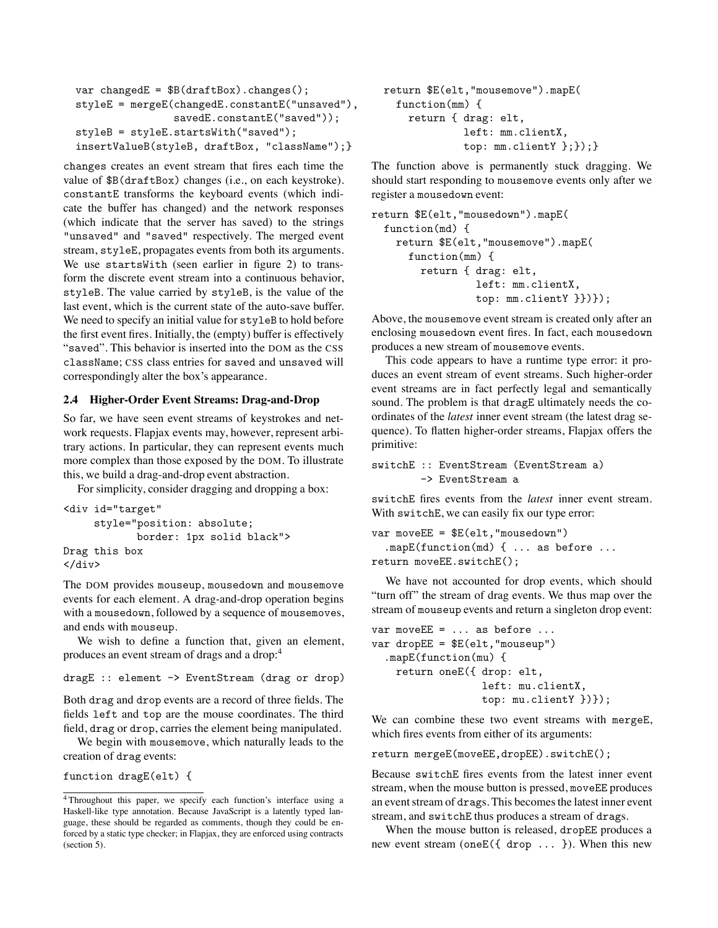```
var changedE = $B(draftBox).changes();
styleE = mergeE(changedE.constantE("unsaved"),
                savedE.constantE("saved"));
styleB = styleE.startsWith("saved");
insertValueB(styleB, draftBox, "className");}
```
changes creates an event stream that fires each time the value of \$B(draftBox) changes (i.e., on each keystroke). constantE transforms the keyboard events (which indicate the buffer has changed) and the network responses (which indicate that the server has saved) to the strings "unsaved" and "saved" respectively. The merged event stream, styleE, propagates events from both its arguments. We use startsWith (seen earlier in figure 2) to transform the discrete event stream into a continuous behavior, styleB. The value carried by styleB, is the value of the last event, which is the current state of the auto-save buffer. We need to specify an initial value for styleB to hold before the first event fires. Initially, the (empty) buffer is effectively "saved". This behavior is inserted into the DOM as the CSS className; CSS class entries for saved and unsaved will correspondingly alter the box's appearance.

#### **2.4 Higher-Order Event Streams: Drag-and-Drop**

So far, we have seen event streams of keystrokes and network requests. Flapjax events may, however, represent arbitrary actions. In particular, they can represent events much more complex than those exposed by the DOM. To illustrate this, we build a drag-and-drop event abstraction.

For simplicity, consider dragging and dropping a box:

```
<div id="target"
     style="position: absolute;
             border: 1px solid black">
Drag this box
\langlediv\rangle
```
The DOM provides mouseup, mousedown and mousemove events for each element. A drag-and-drop operation begins with a mousedown, followed by a sequence of mousemoves, and ends with mouseup.

We wish to define a function that, given an element, produces an event stream of drags and a drop:4

```
dragE :: element -> EventStream (drag or drop)
```
Both drag and drop events are a record of three fields. The fields left and top are the mouse coordinates. The third field, drag or drop, carries the element being manipulated.

We begin with mousemove, which naturally leads to the creation of drag events:

function dragE(elt) {

```
return $E(elt,"mousemove").mapE(
  function(mm) {
    return { drag: elt,
             left: mm.clientX,
             top: mm.clientY };});}
```
The function above is permanently stuck dragging. We should start responding to mousemove events only after we register a mousedown event:

```
return $E(elt,"mousedown").mapE(
  function(md) {
    return $E(elt,"mousemove").mapE(
      function(mm) {
        return { drag: elt,
                 left: mm.clientX,
                 top: mm.clientY }})});
```
Above, the mousemove event stream is created only after an enclosing mousedown event fires. In fact, each mousedown produces a new stream of mousemove events.

This code appears to have a runtime type error: it produces an event stream of event streams. Such higher-order event streams are in fact perfectly legal and semantically sound. The problem is that dragE ultimately needs the coordinates of the *latest* inner event stream (the latest drag sequence). To flatten higher-order streams, Flapjax offers the primitive:

```
switchE :: EventStream (EventStream a)
        -> EventStream a
```
switchE fires events from the *latest* inner event stream. With switchE, we can easily fix our type error:

```
var moveEE = $E(elt,"mousedown")
  .mapE(function(md) { ... as before ...
return moveEE.switchE();
```
We have not accounted for drop events, which should "turn off" the stream of drag events. We thus map over the stream of mouseup events and return a singleton drop event:

```
var moveEE = ... as before ...var dropEE = $E(elt,"mouseup")
  .mapE(function(mu) {
    return oneE({ drop: elt,
                  left: mu.clientX,
                  top: mu.clientY })});
```
We can combine these two event streams with mergeE, which fires events from either of its arguments:

```
return mergeE(moveEE,dropEE).switchE();
```
Because switchE fires events from the latest inner event stream, when the mouse button is pressed, moveEE produces an event stream of drags. This becomes the latest inner event stream, and switchE thus produces a stream of drags.

When the mouse button is released, dropEE produces a new event stream (oneE({ drop ... }). When this new

<sup>4</sup> Throughout this paper, we specify each function's interface using a Haskell-like type annotation. Because JavaScript is a latently typed language, these should be regarded as comments, though they could be enforced by a static type checker; in Flapjax, they are enforced using contracts (section 5).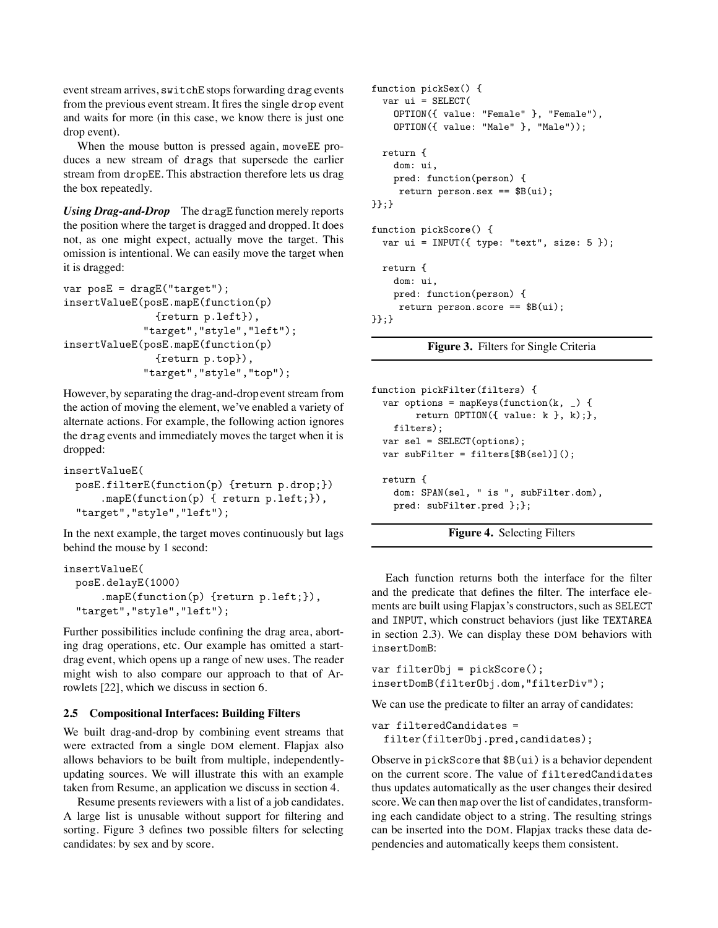event stream arrives, switchE stops forwarding drag events from the previous event stream. It fires the single drop event and waits for more (in this case, we know there is just one drop event).

When the mouse button is pressed again, moveEE produces a new stream of drags that supersede the earlier stream from dropEE. This abstraction therefore lets us drag the box repeatedly.

*Using Drag-and-Drop* The dragE function merely reports the position where the target is dragged and dropped. It does not, as one might expect, actually move the target. This omission is intentional. We can easily move the target when it is dragged:

```
var posE = dragE("target");
insertValueE(posE.mapE(function(p)
               {return p.left}),
             "target","style","left");
insertValueE(posE.mapE(function(p)
               {return p.top}),
             "target","style","top");
```
However, by separating the drag-and-drop event stream from the action of moving the element, we've enabled a variety of alternate actions. For example, the following action ignores the drag events and immediately moves the target when it is dropped:

```
insertValueE(
 posE.filterE(function(p) {return p.drop;})
      .mapE(function(p) { return p.left;}),
  "target","style","left");
```
In the next example, the target moves continuously but lags behind the mouse by 1 second:

```
insertValueE(
 posE.delayE(1000)
      .mapE(function(p) {return p.left;}),
  "target","style","left");
```
Further possibilities include confining the drag area, aborting drag operations, etc. Our example has omitted a startdrag event, which opens up a range of new uses. The reader might wish to also compare our approach to that of Arrowlets [22], which we discuss in section 6.

#### **2.5 Compositional Interfaces: Building Filters**

We built drag-and-drop by combining event streams that were extracted from a single DOM element. Flapjax also allows behaviors to be built from multiple, independentlyupdating sources. We will illustrate this with an example taken from Resume, an application we discuss in section 4.

Resume presents reviewers with a list of a job candidates. A large list is unusable without support for filtering and sorting. Figure 3 defines two possible filters for selecting candidates: by sex and by score.

```
function pickSex() {
  var ui = SELECT(
    OPTION({ value: "Female" }, "Female"),
    OPTION({ value: "Male" }, "Male"));
  return {
    dom: ui,
    pred: function(person) {
     return person.sex == $B(ui);
}};}
function pickScore() {
  var ui = INPUT({type: "text", size: 5 });
  return {
    dom: ui,
    pred: function(person) {
     return person.score == $B(ui);
}};}
```
**Figure 3.** Filters for Single Criteria

```
function pickFilter(filters) {
  var options = mapKeys(function(k, _) {
        return OPTION({ value: k }, k);},
    filters);
  var sel = SELECT(options);
  var subFilter = filters[\$B(\text{sel})]();
  return {
    dom: SPAN(sel, " is ", subFilter.dom),
    pred: subFilter.pred };};
```
**Figure 4.** Selecting Filters

Each function returns both the interface for the filter and the predicate that defines the filter. The interface elements are built using Flapjax's constructors, such as SELECT and INPUT, which construct behaviors (just like TEXTAREA in section 2.3). We can display these DOM behaviors with insertDomB:

var filterObj = pickScore(); insertDomB(filterObj.dom,"filterDiv");

We can use the predicate to filter an array of candidates:

```
var filteredCandidates =
  filter(filterObj.pred,candidates);
```
Observe in pickScore that \$B(ui) is a behavior dependent on the current score. The value of filteredCandidates thus updates automatically as the user changes their desired score. We can then map over the list of candidates, transforming each candidate object to a string. The resulting strings can be inserted into the DOM. Flapjax tracks these data dependencies and automatically keeps them consistent.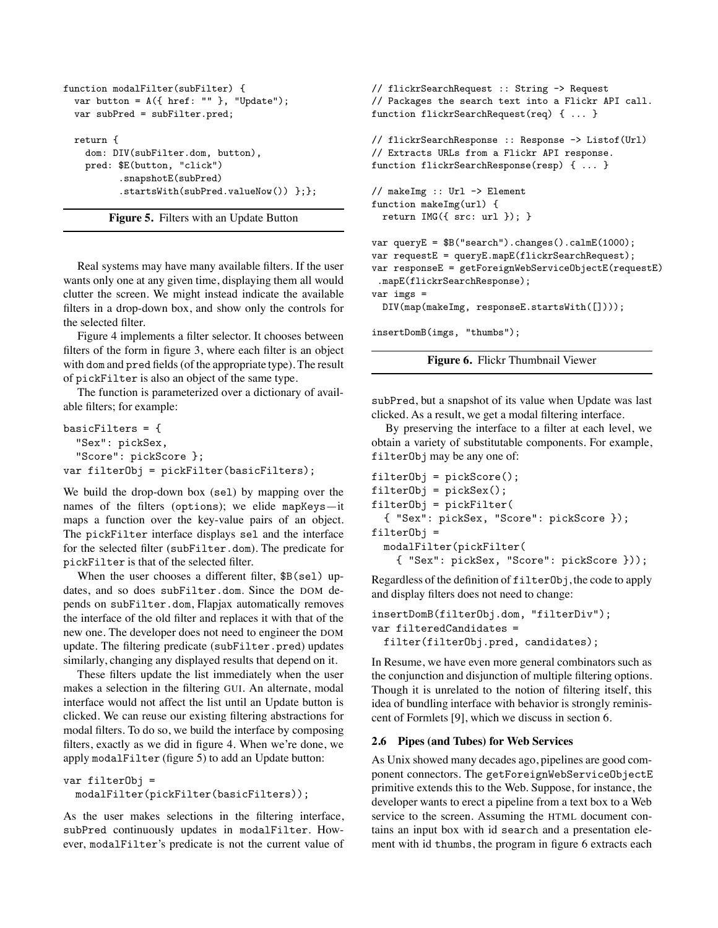```
function modalFilter(subFilter) {
 var button = A({ href: "" }, "Update");
 var subPred = subFilter.pred;
 return {
   dom: DIV(subFilter.dom, button),
   pred: $E(button, "click")
          .snapshotE(subPred)
          .startsWith(subPred.valueNow()) };};
```
**Figure 5.** Filters with an Update Button

Real systems may have many available filters. If the user wants only one at any given time, displaying them all would clutter the screen. We might instead indicate the available filters in a drop-down box, and show only the controls for the selected filter.

Figure 4 implements a filter selector. It chooses between filters of the form in figure 3, where each filter is an object with dom and pred fields (of the appropriate type). The result of pickFilter is also an object of the same type.

The function is parameterized over a dictionary of available filters; for example:

```
basicFilters = {
  "Sex": pickSex,
  "Score": pickScore };
var filterObj = pickFilter(basicFilters);
```
We build the drop-down box (sel) by mapping over the names of the filters (options); we elide mapKeys—it maps a function over the key-value pairs of an object. The pickFilter interface displays sel and the interface for the selected filter (subFilter.dom). The predicate for pickFilter is that of the selected filter.

When the user chooses a different filter, \$B(sel) updates, and so does subFilter.dom. Since the DOM depends on subFilter.dom, Flapjax automatically removes the interface of the old filter and replaces it with that of the new one. The developer does not need to engineer the DOM update. The filtering predicate (subFilter.pred) updates similarly, changing any displayed results that depend on it.

These filters update the list immediately when the user makes a selection in the filtering GUI. An alternate, modal interface would not affect the list until an Update button is clicked. We can reuse our existing filtering abstractions for modal filters. To do so, we build the interface by composing filters, exactly as we did in figure 4. When we're done, we apply modalFilter (figure 5) to add an Update button:

```
var filterObj =
 modalFilter(pickFilter(basicFilters));
```
As the user makes selections in the filtering interface, subPred continuously updates in modalFilter. However, modalFilter's predicate is not the current value of

```
// flickrSearchRequest :: String -> Request
// Packages the search text into a Flickr API call.
function flickrSearchRequest(req) { ... }
// flickrSearchResponse :: Response -> Listof(Url)
// Extracts URLs from a Flickr API response.
function flickrSearchResponse(resp) { ... }
// makeImg :: Url -> Element
function makeImg(url) {
  return IMG({src: url }):var queryE = $B("search").changes().calmE(1000);
var requestE = queryE.mapE(flickrSearchRequest);
var responseE = getForeignWebServiceObjectE(requestE)
 .mapE(flickrSearchResponse);
var imgs =
  DIV(map(makeImg, responseE.startsWith([])));
insertDomB(imgs, "thumbs");
```
**Figure 6.** Flickr Thumbnail Viewer

subPred, but a snapshot of its value when Update was last clicked. As a result, we get a modal filtering interface.

By preserving the interface to a filter at each level, we obtain a variety of substitutable components. For example, filterObj may be any one of:

```
filterObj = pickScore();
filterObj = pickSex();
filterObj = pickFilter(
  { "Sex": pickSex, "Score": pickScore });
filterObj =
  modalFilter(pickFilter(
    { "Sex": pickSex, "Score": pickScore }));
```
Regardless of the definition of filterObj, the code to apply and display filters does not need to change:

```
insertDomB(filterObj.dom, "filterDiv");
var filteredCandidates =
  filter(filterObj.pred, candidates);
```
In Resume, we have even more general combinators such as the conjunction and disjunction of multiple filtering options. Though it is unrelated to the notion of filtering itself, this idea of bundling interface with behavior is strongly reminiscent of Formlets [9], which we discuss in section 6.

## **2.6 Pipes (and Tubes) for Web Services**

As Unix showed many decades ago, pipelines are good component connectors. The getForeignWebServiceObjectE primitive extends this to the Web. Suppose, for instance, the developer wants to erect a pipeline from a text box to a Web service to the screen. Assuming the HTML document contains an input box with id search and a presentation element with id thumbs, the program in figure 6 extracts each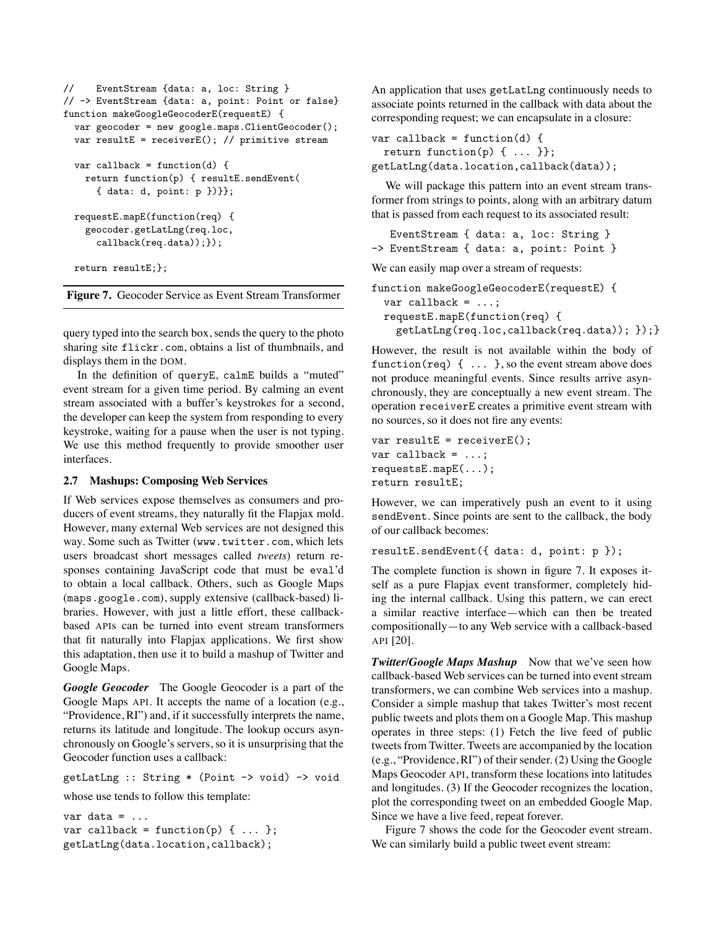```
// EventStream {data: a, loc: String }
// -> EventStream {data: a, point: Point or false}
function makeGoogleGeocoderE(requestE) {
 var geocoder = new google.maps.ClientGeocoder();
 var resultE = receiverE(); // primitive stream
 var callback = function(d) {
   return function(p) { resultE.sendEvent(
      { data: d, point: p })}};
 requestE.mapE(function(req) {
    geocoder.getLatLng(req.loc,
      callback(req.data));});
 return resultE;};
```
**Figure 7.** Geocoder Service as Event Stream Transformer

query typed into the search box, sends the query to the photo sharing site flickr.com, obtains a list of thumbnails, and displays them in the DOM.

In the definition of queryE, calmE builds a "muted" event stream for a given time period. By calming an event stream associated with a buffer's keystrokes for a second, the developer can keep the system from responding to every keystroke, waiting for a pause when the user is not typing. We use this method frequently to provide smoother user interfaces.

## **2.7 Mashups: Composing Web Services**

If Web services expose themselves as consumers and producers of event streams, they naturally fit the Flapjax mold. However, many external Web services are not designed this way. Some such as Twitter (www.twitter.com, which lets users broadcast short messages called *tweets*) return responses containing JavaScript code that must be eval'd to obtain a local callback. Others, such as Google Maps (maps.google.com), supply extensive (callback-based) libraries. However, with just a little effort, these callbackbased APIs can be turned into event stream transformers that fit naturally into Flapjax applications. We first show this adaptation, then use it to build a mashup of Twitter and Google Maps.

*Google Geocoder* The Google Geocoder is a part of the Google Maps API. It accepts the name of a location (e.g., "Providence, RI") and, if it successfully interprets the name, returns its latitude and longitude. The lookup occurs asynchronously on Google's servers, so it is unsurprising that the Geocoder function uses a callback:

getLatLng :: String \* (Point -> void) -> void

whose use tends to follow this template:

```
var data = ...
var callback = function(p) \{ \ldots \};
getLatLng(data.location,callback);
```
An application that uses getLatLng continuously needs to associate points returned in the callback with data about the corresponding request; we can encapsulate in a closure:

```
var callback = function(d) {
 return function(p) \{ \ldots \};
getLatLng(data.location,callback(data));
```
We will package this pattern into an event stream transformer from strings to points, along with an arbitrary datum that is passed from each request to its associated result:

```
EventStream { data: a, loc: String }
-> EventStream { data: a, point: Point }
```
We can easily map over a stream of requests:

function makeGoogleGeocoderE(requestE) { var callback =  $\dots;$ requestE.mapE(function(req) { getLatLng(req.loc,callback(req.data)); });}

However, the result is not available within the body of function(req)  $\{ \ldots \}$ , so the event stream above does not produce meaningful events. Since results arrive asynchronously, they are conceptually a new event stream. The operation receiverE creates a primitive event stream with no sources, so it does not fire any events:

```
var resultE = receiverE();
var callback = \dots;
requestsE.mapE(...);
return resultE;
```
However, we can imperatively push an event to it using sendEvent. Since points are sent to the callback, the body of our callback becomes:

```
resultE.sendEvent({ data: d, point: p });
```
The complete function is shown in figure 7. It exposes itself as a pure Flapjax event transformer, completely hiding the internal callback. Using this pattern, we can erect a similar reactive interface—which can then be treated compositionally—to any Web service with a callback-based API [20].

*Twitter/Google Maps Mashup* Now that we've seen how callback-based Web services can be turned into event stream transformers, we can combine Web services into a mashup. Consider a simple mashup that takes Twitter's most recent public tweets and plots them on a Google Map. This mashup operates in three steps: (1) Fetch the live feed of public tweets from Twitter. Tweets are accompanied by the location (e.g., "Providence, RI") of their sender. (2) Using the Google Maps Geocoder API, transform these locations into latitudes and longitudes. (3) If the Geocoder recognizes the location, plot the corresponding tweet on an embedded Google Map. Since we have a live feed, repeat forever.

Figure 7 shows the code for the Geocoder event stream. We can similarly build a public tweet event stream: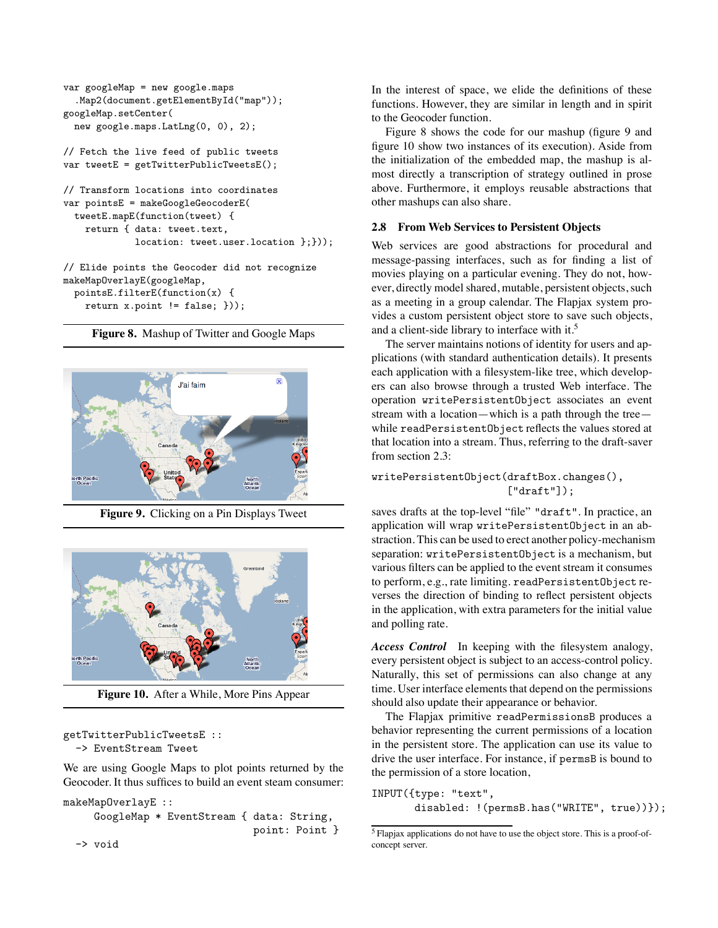```
var googleMap = new google.maps
  .Map2(document.getElementById("map"));
googleMap.setCenter(
 new google.maps.LatLng(0, 0), 2);
// Fetch the live feed of public tweets
var tweetE = getTwitterPublicTweetsE();
// Transform locations into coordinates
var pointsE = makeGoogleGeocoderE(
  tweetE.mapE(function(tweet) {
    return { data: tweet.text,
             location: tweet.user.location };}));
```

```
// Elide points the Geocoder did not recognize
makeMapOverlayE(googleMap,
 pointsE.filterE(function(x) {
    return x.point != false; }));
```




**Figure 9.** Clicking on a Pin Displays Tweet



**Figure 10.** After a While, More Pins Appear

```
getTwitterPublicTweetsE ::
  -> EventStream Tweet
```
We are using Google Maps to plot points returned by the Geocoder. It thus suffices to build an event steam consumer:

```
makeMapOverlayE ::
     GoogleMap * EventStream { data: String,
                               point: Point }
  -> void
```
In the interest of space, we elide the definitions of these functions. However, they are similar in length and in spirit to the Geocoder function.

Figure 8 shows the code for our mashup (figure 9 and figure 10 show two instances of its execution). Aside from the initialization of the embedded map, the mashup is almost directly a transcription of strategy outlined in prose above. Furthermore, it employs reusable abstractions that other mashups can also share.

## **2.8 From Web Services to Persistent Objects**

Web services are good abstractions for procedural and message-passing interfaces, such as for finding a list of movies playing on a particular evening. They do not, however, directly model shared, mutable, persistent objects, such as a meeting in a group calendar. The Flapjax system provides a custom persistent object store to save such objects, and a client-side library to interface with it.<sup>5</sup>

The server maintains notions of identity for users and applications (with standard authentication details). It presents each application with a filesystem-like tree, which developers can also browse through a trusted Web interface. The operation writePersistentObject associates an event stream with a location—which is a path through the tree while readPersistentObject reflects the values stored at that location into a stream. Thus, referring to the draft-saver from section 2.3:

# writePersistentObject(draftBox.changes(), ["draft"]);

saves drafts at the top-level "file" "draft". In practice, an application will wrap writePersistentObject in an abstraction. This can be used to erect another policy-mechanism separation: writePersistentObject is a mechanism, but various filters can be applied to the event stream it consumes to perform, e.g., rate limiting. readPersistentObject reverses the direction of binding to reflect persistent objects in the application, with extra parameters for the initial value and polling rate.

*Access Control* In keeping with the filesystem analogy, every persistent object is subject to an access-control policy. Naturally, this set of permissions can also change at any time. User interface elements that depend on the permissions should also update their appearance or behavior.

The Flapjax primitive readPermissionsB produces a behavior representing the current permissions of a location in the persistent store. The application can use its value to drive the user interface. For instance, if permsB is bound to the permission of a store location,

INPUT({type: "text", disabled: !(permsB.has("WRITE", true))});

<sup>5</sup> Flapjax applications do not have to use the object store. This is a proof-ofconcept server.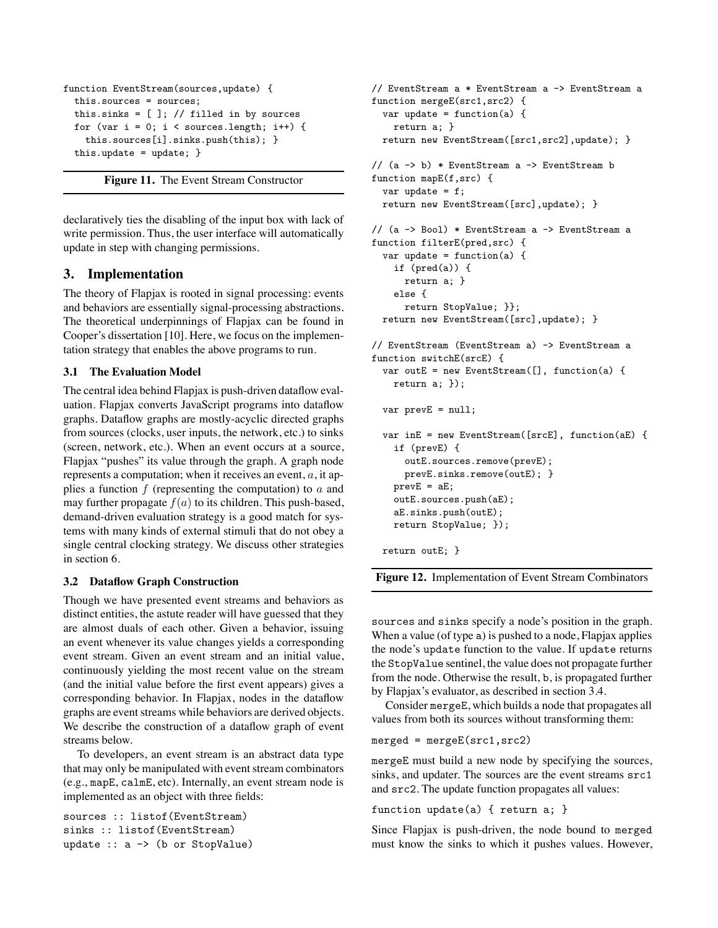```
function EventStream(sources,update) {
 this.sources = sources;
  this.sinks = [ ]; // filled in by sources
 for (var i = 0; i < sources.length; i++) {
    this.sources[i].sinks.push(this); }
  this.update = update; }
```
**Figure 11.** The Event Stream Constructor

declaratively ties the disabling of the input box with lack of write permission. Thus, the user interface will automatically update in step with changing permissions.

# **3. Implementation**

The theory of Flapjax is rooted in signal processing: events and behaviors are essentially signal-processing abstractions. The theoretical underpinnings of Flapjax can be found in Cooper's dissertation [10]. Here, we focus on the implementation strategy that enables the above programs to run.

## **3.1 The Evaluation Model**

The central idea behind Flapjax is push-driven dataflow evaluation. Flapjax converts JavaScript programs into dataflow graphs. Dataflow graphs are mostly-acyclic directed graphs from sources (clocks, user inputs, the network, etc.) to sinks (screen, network, etc.). When an event occurs at a source, Flapjax "pushes" its value through the graph. A graph node represents a computation; when it receives an event, *a*, it applies a function *f* (representing the computation) to *a* and may further propagate  $f(a)$  to its children. This push-based, demand-driven evaluation strategy is a good match for systems with many kinds of external stimuli that do not obey a single central clocking strategy. We discuss other strategies in section 6.

#### **3.2 Dataflow Graph Construction**

Though we have presented event streams and behaviors as distinct entities, the astute reader will have guessed that they are almost duals of each other. Given a behavior, issuing an event whenever its value changes yields a corresponding event stream. Given an event stream and an initial value, continuously yielding the most recent value on the stream (and the initial value before the first event appears) gives a corresponding behavior. In Flapjax, nodes in the dataflow graphs are event streams while behaviors are derived objects. We describe the construction of a dataflow graph of event streams below.

To developers, an event stream is an abstract data type that may only be manipulated with event stream combinators (e.g., mapE, calmE, etc). Internally, an event stream node is implemented as an object with three fields:

```
sources :: listof(EventStream)
sinks :: listof(EventStream)
update :: a -> (b or StopValue)
```

```
// EventStream a * EventStream a -> EventStream a
function mergeE(src1,src2) {
  var update = function(a) {
    return a; }
 return new EventStream([src1,src2],update); }
// (a -> b) * EventStream a -> EventStream b
```

```
function mapE(f,src) {
  var update = f;
  return new EventStream([src],update); }
```

```
// (a -> Bool) * EventStream a -> EventStream a
function filterE(pred,src) {
  var update = function(a) {
    if (pred(a)) {
      return a; }
    else {
     return StopValue; }};
  return new EventStream([src],update); }
```

```
// EventStream (EventStream a) -> EventStream a
function switchE(srcE) {
  var outE = new EventStream([], function(a) {
    return a; });
```

```
var prevE = null;
var inE = new EventStream([srcE], function(aE) {
  if (prevE) {
    outE.sources.remove(prevE);
   prevE.sinks.remove(outE); }
 prevE = aE;
 outE.sources.push(aE);
  aE.sinks.push(outE);
 return StopValue; });
return outE; }
```
**Figure 12.** Implementation of Event Stream Combinators

sources and sinks specify a node's position in the graph. When a value (of type a) is pushed to a node, Flapjax applies the node's update function to the value. If update returns the StopValue sentinel, the value does not propagate further from the node. Otherwise the result, b, is propagated further by Flapjax's evaluator, as described in section 3.4.

Consider mergeE, which builds a node that propagates all values from both its sources without transforming them:

merged = mergeE(src1,src2)

mergeE must build a new node by specifying the sources, sinks, and updater. The sources are the event streams src1 and src2. The update function propagates all values:

function update(a) { return a; }

Since Flapjax is push-driven, the node bound to merged must know the sinks to which it pushes values. However,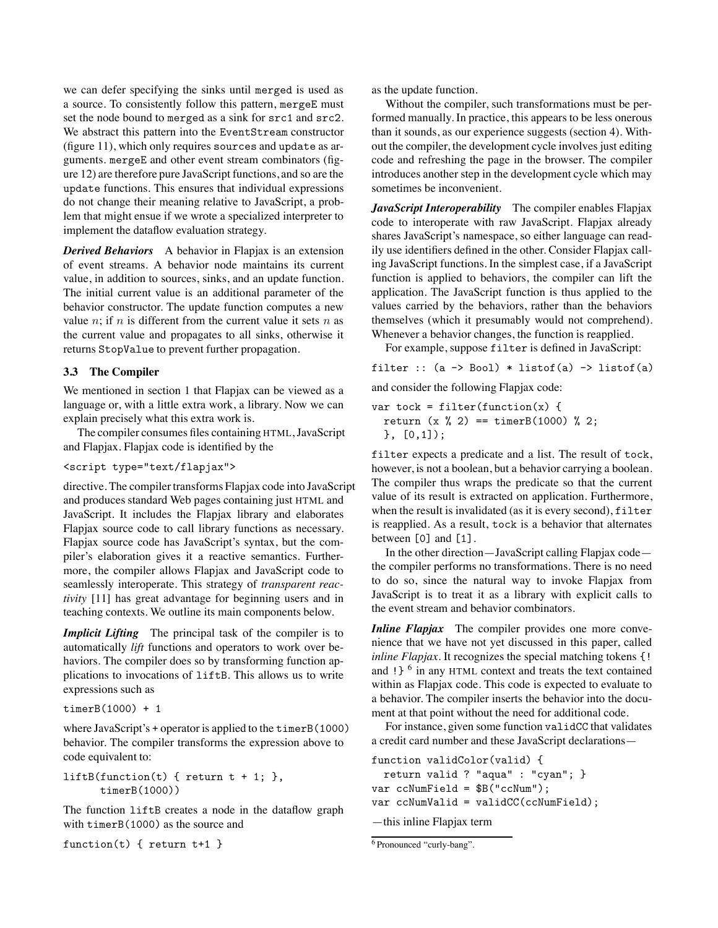we can defer specifying the sinks until merged is used as a source. To consistently follow this pattern, mergeE must set the node bound to merged as a sink for src1 and src2. We abstract this pattern into the EventStream constructor (figure 11), which only requires sources and update as arguments. mergeE and other event stream combinators (figure 12) are therefore pure JavaScript functions, and so are the update functions. This ensures that individual expressions do not change their meaning relative to JavaScript, a problem that might ensue if we wrote a specialized interpreter to implement the dataflow evaluation strategy.

*Derived Behaviors* A behavior in Flapjax is an extension of event streams. A behavior node maintains its current value, in addition to sources, sinks, and an update function. The initial current value is an additional parameter of the behavior constructor. The update function computes a new value  $n$ ; if  $n$  is different from the current value it sets  $n$  as the current value and propagates to all sinks, otherwise it returns StopValue to prevent further propagation.

## **3.3 The Compiler**

We mentioned in section 1 that Flapjax can be viewed as a language or, with a little extra work, a library. Now we can explain precisely what this extra work is.

The compiler consumes files containing HTML, JavaScript and Flapjax. Flapjax code is identified by the

## <script type="text/flapjax">

directive. The compiler transforms Flapjax code into JavaScript and produces standard Web pages containing just HTML and JavaScript. It includes the Flapjax library and elaborates Flapjax source code to call library functions as necessary. Flapjax source code has JavaScript's syntax, but the compiler's elaboration gives it a reactive semantics. Furthermore, the compiler allows Flapjax and JavaScript code to seamlessly interoperate. This strategy of *transparent reactivity* [11] has great advantage for beginning users and in teaching contexts. We outline its main components below.

*Implicit Lifting* The principal task of the compiler is to automatically *lift* functions and operators to work over behaviors. The compiler does so by transforming function applications to invocations of liftB. This allows us to write expressions such as

```
timerB(1000) + 1
```
where JavaScript's + operator is applied to the timerB(1000) behavior. The compiler transforms the expression above to code equivalent to:

 $liftB(function(t) { return t + 1; }$ timerB(1000))

The function liftB creates a node in the dataflow graph with timerB(1000) as the source and

```
function(t) { return t+1 }
```
as the update function.

Without the compiler, such transformations must be performed manually. In practice, this appears to be less onerous than it sounds, as our experience suggests (section 4). Without the compiler, the development cycle involves just editing code and refreshing the page in the browser. The compiler introduces another step in the development cycle which may sometimes be inconvenient.

*JavaScript Interoperability* The compiler enables Flapjax code to interoperate with raw JavaScript. Flapjax already shares JavaScript's namespace, so either language can readily use identifiers defined in the other. Consider Flapjax calling JavaScript functions. In the simplest case, if a JavaScript function is applied to behaviors, the compiler can lift the application. The JavaScript function is thus applied to the values carried by the behaviors, rather than the behaviors themselves (which it presumably would not comprehend). Whenever a behavior changes, the function is reapplied.

For example, suppose filter is defined in JavaScript:

filter ::  $(a \rightarrow Bool) * listof(a) \rightarrow listof(a)$ 

and consider the following Flapjax code:

var tock = filter(function(x) { return  $(x % 2) == *timerB(1000) % 2;*$ }, [0,1]);

filter expects a predicate and a list. The result of tock, however, is not a boolean, but a behavior carrying a boolean. The compiler thus wraps the predicate so that the current value of its result is extracted on application. Furthermore, when the result is invalidated (as it is every second), filter is reapplied. As a result, tock is a behavior that alternates between [0] and [1].

In the other direction—JavaScript calling Flapjax code the compiler performs no transformations. There is no need to do so, since the natural way to invoke Flapjax from JavaScript is to treat it as a library with explicit calls to the event stream and behavior combinators.

*Inline Flapjax* The compiler provides one more convenience that we have not yet discussed in this paper, called *inline Flapjax*. It recognizes the special matching tokens {! and !} <sup>6</sup> in any HTML context and treats the text contained within as Flapjax code. This code is expected to evaluate to a behavior. The compiler inserts the behavior into the document at that point without the need for additional code.

For instance, given some function validCC that validates a credit card number and these JavaScript declarations—

```
function validColor(valid) {
  return valid ? "aqua" : "cyan"; }
var ccNumField = $B("ccNum");
var ccNumValid = validCC(ccNumField);
```
—this inline Flapjax term

<sup>6</sup> Pronounced "curly-bang".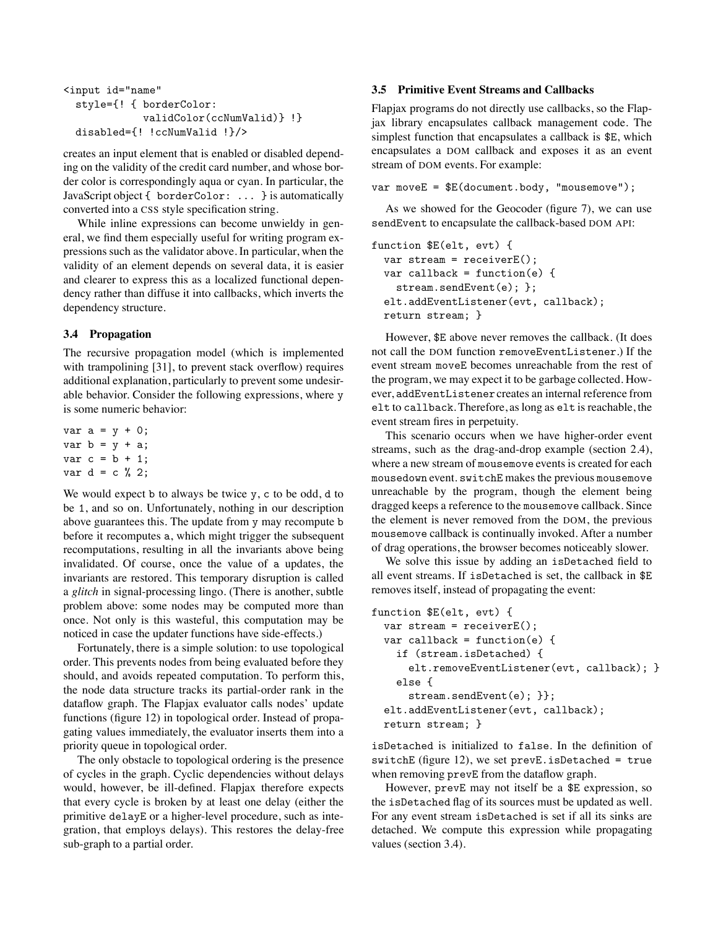```
<input id="name"
 style={! { borderColor:
             validColor(ccNumValid)} !}
 disabled={! !ccNumValid !}/>
```
creates an input element that is enabled or disabled depending on the validity of the credit card number, and whose border color is correspondingly aqua or cyan. In particular, the JavaScript object { borderColor: ... } is automatically converted into a CSS style specification string.

While inline expressions can become unwieldy in general, we find them especially useful for writing program expressions such as the validator above. In particular, when the validity of an element depends on several data, it is easier and clearer to express this as a localized functional dependency rather than diffuse it into callbacks, which inverts the dependency structure.

## **3.4 Propagation**

The recursive propagation model (which is implemented with trampolining [31], to prevent stack overflow) requires additional explanation, particularly to prevent some undesirable behavior. Consider the following expressions, where y is some numeric behavior:

var  $a = y + 0$ ; var  $b = y + a$ ;  $var c = b + 1;$ var  $d = c \% 2$ ;

We would expect b to always be twice y, c to be odd, d to be 1, and so on. Unfortunately, nothing in our description above guarantees this. The update from y may recompute b before it recomputes a, which might trigger the subsequent recomputations, resulting in all the invariants above being invalidated. Of course, once the value of a updates, the invariants are restored. This temporary disruption is called a *glitch* in signal-processing lingo. (There is another, subtle problem above: some nodes may be computed more than once. Not only is this wasteful, this computation may be noticed in case the updater functions have side-effects.)

Fortunately, there is a simple solution: to use topological order. This prevents nodes from being evaluated before they should, and avoids repeated computation. To perform this, the node data structure tracks its partial-order rank in the dataflow graph. The Flapjax evaluator calls nodes' update functions (figure 12) in topological order. Instead of propagating values immediately, the evaluator inserts them into a priority queue in topological order.

The only obstacle to topological ordering is the presence of cycles in the graph. Cyclic dependencies without delays would, however, be ill-defined. Flapjax therefore expects that every cycle is broken by at least one delay (either the primitive delayE or a higher-level procedure, such as integration, that employs delays). This restores the delay-free sub-graph to a partial order.

## **3.5 Primitive Event Streams and Callbacks**

Flapjax programs do not directly use callbacks, so the Flapjax library encapsulates callback management code. The simplest function that encapsulates a callback is \$E, which encapsulates a DOM callback and exposes it as an event stream of DOM events. For example:

```
var moveE = $E(document.body, "mousemove");
```
As we showed for the Geocoder (figure 7), we can use sendEvent to encapsulate the callback-based DOM API:

```
function $E(elt, evt) {
  var stream = receiverE();
  var callback = function(e) {
    stream.sendEvent(e); };
  elt.addEventListener(evt, callback);
  return stream; }
```
However, \$E above never removes the callback. (It does not call the DOM function removeEventListener.) If the event stream moveE becomes unreachable from the rest of the program, we may expect it to be garbage collected. However, addEventListener creates an internal reference from elt to callback. Therefore, as long as elt is reachable, the event stream fires in perpetuity.

This scenario occurs when we have higher-order event streams, such as the drag-and-drop example (section 2.4), where a new stream of mousemove events is created for each mousedown event. switchE makes the previous mousemove unreachable by the program, though the element being dragged keeps a reference to the mousemove callback. Since the element is never removed from the DOM, the previous mousemove callback is continually invoked. After a number of drag operations, the browser becomes noticeably slower.

We solve this issue by adding an isDetached field to all event streams. If isDetached is set, the callback in \$E removes itself, instead of propagating the event:

```
function $E(elt, evt) {
  var stream = receiverE();
  var callback = function(e) {
    if (stream.isDetached) {
      elt.removeEventListener(evt, callback); }
    else {
      stream.sendEvent(e); }};
  elt.addEventListener(evt, callback);
  return stream; }
```
isDetached is initialized to false. In the definition of switchE (figure 12), we set  $prevE.isDetached = true$ when removing prevE from the dataflow graph.

However, prevE may not itself be a \$E expression, so the isDetached flag of its sources must be updated as well. For any event stream isDetached is set if all its sinks are detached. We compute this expression while propagating values (section 3.4).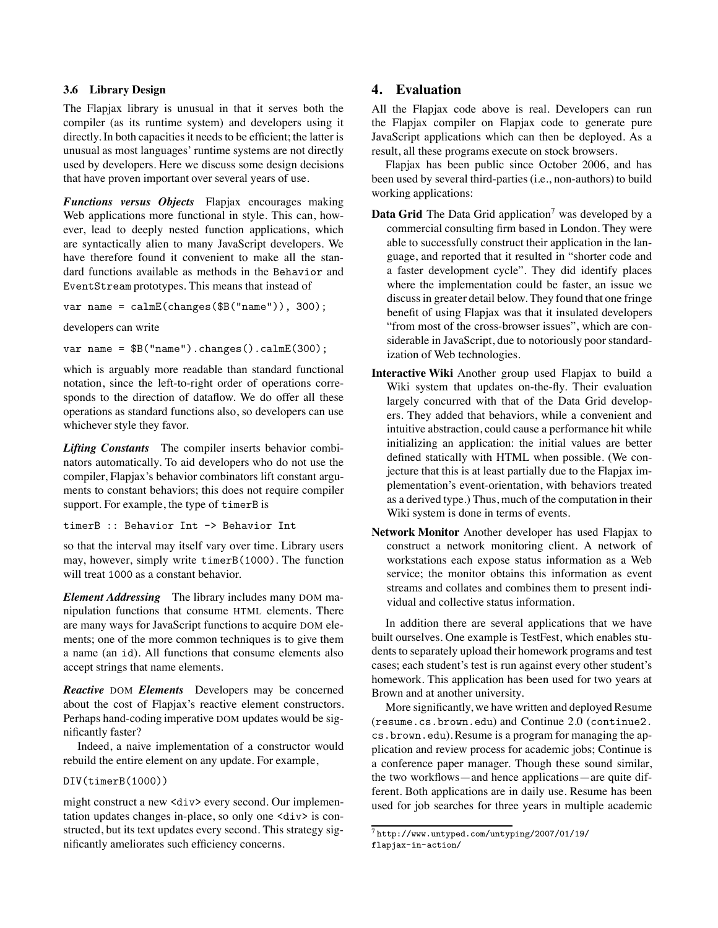# **3.6 Library Design**

The Flapjax library is unusual in that it serves both the compiler (as its runtime system) and developers using it directly. In both capacities it needs to be efficient; the latter is unusual as most languages' runtime systems are not directly used by developers. Here we discuss some design decisions that have proven important over several years of use.

*Functions versus Objects* Flapjax encourages making Web applications more functional in style. This can, however, lead to deeply nested function applications, which are syntactically alien to many JavaScript developers. We have therefore found it convenient to make all the standard functions available as methods in the Behavior and EventStream prototypes. This means that instead of

var name = calmE(changes(\$B("name")), 300);

developers can write

var name = \$B("name").changes().calmE(300);

which is arguably more readable than standard functional notation, since the left-to-right order of operations corresponds to the direction of dataflow. We do offer all these operations as standard functions also, so developers can use whichever style they favor.

*Lifting Constants* The compiler inserts behavior combinators automatically. To aid developers who do not use the compiler, Flapjax's behavior combinators lift constant arguments to constant behaviors; this does not require compiler support. For example, the type of timerB is

timerB :: Behavior Int -> Behavior Int

so that the interval may itself vary over time. Library users may, however, simply write timerB(1000). The function will treat 1000 as a constant behavior.

*Element Addressing* The library includes many DOM manipulation functions that consume HTML elements. There are many ways for JavaScript functions to acquire DOM elements; one of the more common techniques is to give them a name (an id). All functions that consume elements also accept strings that name elements.

*Reactive* DOM *Elements* Developers may be concerned about the cost of Flapjax's reactive element constructors. Perhaps hand-coding imperative DOM updates would be significantly faster?

Indeed, a naive implementation of a constructor would rebuild the entire element on any update. For example,

DIV(timerB(1000))

might construct a new <div> every second. Our implementation updates changes in-place, so only one <div> is constructed, but its text updates every second. This strategy significantly ameliorates such efficiency concerns.

# **4. Evaluation**

All the Flapjax code above is real. Developers can run the Flapjax compiler on Flapjax code to generate pure JavaScript applications which can then be deployed. As a result, all these programs execute on stock browsers.

Flapjax has been public since October 2006, and has been used by several third-parties (i.e., non-authors) to build working applications:

- **Data Grid** The Data Grid application<sup>7</sup> was developed by a commercial consulting firm based in London. They were able to successfully construct their application in the language, and reported that it resulted in "shorter code and a faster development cycle". They did identify places where the implementation could be faster, an issue we discuss in greater detail below. They found that one fringe benefit of using Flapjax was that it insulated developers "from most of the cross-browser issues", which are considerable in JavaScript, due to notoriously poor standardization of Web technologies.
- **Interactive Wiki** Another group used Flapjax to build a Wiki system that updates on-the-fly. Their evaluation largely concurred with that of the Data Grid developers. They added that behaviors, while a convenient and intuitive abstraction, could cause a performance hit while initializing an application: the initial values are better defined statically with HTML when possible. (We conjecture that this is at least partially due to the Flapjax implementation's event-orientation, with behaviors treated as a derived type.) Thus, much of the computation in their Wiki system is done in terms of events.
- **Network Monitor** Another developer has used Flapjax to construct a network monitoring client. A network of workstations each expose status information as a Web service; the monitor obtains this information as event streams and collates and combines them to present individual and collective status information.

In addition there are several applications that we have built ourselves. One example is TestFest, which enables students to separately upload their homework programs and test cases; each student's test is run against every other student's homework. This application has been used for two years at Brown and at another university.

More significantly, we have written and deployed Resume (resume.cs.brown.edu) and Continue 2.0 (continue2. cs.brown.edu). Resume is a program for managing the application and review process for academic jobs; Continue is a conference paper manager. Though these sound similar, the two workflows—and hence applications—are quite different. Both applications are in daily use. Resume has been used for job searches for three years in multiple academic

<sup>7</sup> http://www.untyped.com/untyping/2007/01/19/ flapjax-in-action/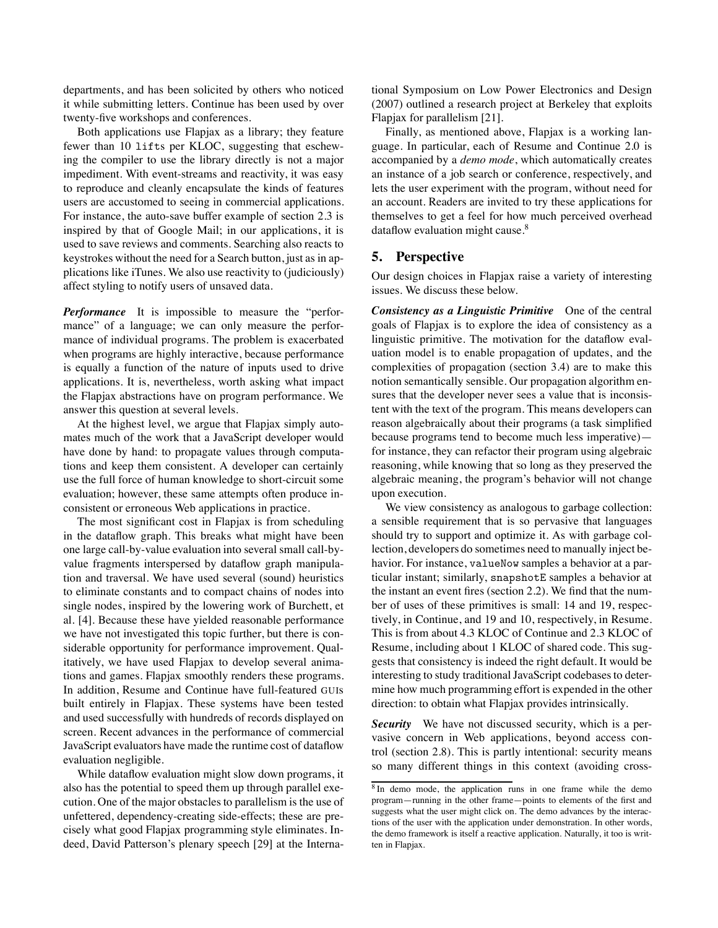departments, and has been solicited by others who noticed it while submitting letters. Continue has been used by over twenty-five workshops and conferences.

Both applications use Flapjax as a library; they feature fewer than 10 lifts per KLOC, suggesting that eschewing the compiler to use the library directly is not a major impediment. With event-streams and reactivity, it was easy to reproduce and cleanly encapsulate the kinds of features users are accustomed to seeing in commercial applications. For instance, the auto-save buffer example of section 2.3 is inspired by that of Google Mail; in our applications, it is used to save reviews and comments. Searching also reacts to keystrokes without the need for a Search button, just as in applications like iTunes. We also use reactivity to (judiciously) affect styling to notify users of unsaved data.

*Performance* It is impossible to measure the "performance" of a language; we can only measure the performance of individual programs. The problem is exacerbated when programs are highly interactive, because performance is equally a function of the nature of inputs used to drive applications. It is, nevertheless, worth asking what impact the Flapjax abstractions have on program performance. We answer this question at several levels.

At the highest level, we argue that Flapjax simply automates much of the work that a JavaScript developer would have done by hand: to propagate values through computations and keep them consistent. A developer can certainly use the full force of human knowledge to short-circuit some evaluation; however, these same attempts often produce inconsistent or erroneous Web applications in practice.

The most significant cost in Flapjax is from scheduling in the dataflow graph. This breaks what might have been one large call-by-value evaluation into several small call-byvalue fragments interspersed by dataflow graph manipulation and traversal. We have used several (sound) heuristics to eliminate constants and to compact chains of nodes into single nodes, inspired by the lowering work of Burchett, et al. [4]. Because these have yielded reasonable performance we have not investigated this topic further, but there is considerable opportunity for performance improvement. Qualitatively, we have used Flapjax to develop several animations and games. Flapjax smoothly renders these programs. In addition, Resume and Continue have full-featured GUIs built entirely in Flapjax. These systems have been tested and used successfully with hundreds of records displayed on screen. Recent advances in the performance of commercial JavaScript evaluators have made the runtime cost of dataflow evaluation negligible.

While dataflow evaluation might slow down programs, it also has the potential to speed them up through parallel execution. One of the major obstacles to parallelism is the use of unfettered, dependency-creating side-effects; these are precisely what good Flapjax programming style eliminates. Indeed, David Patterson's plenary speech [29] at the International Symposium on Low Power Electronics and Design (2007) outlined a research project at Berkeley that exploits Flapjax for parallelism [21].

Finally, as mentioned above, Flapjax is a working language. In particular, each of Resume and Continue 2.0 is accompanied by a *demo mode*, which automatically creates an instance of a job search or conference, respectively, and lets the user experiment with the program, without need for an account. Readers are invited to try these applications for themselves to get a feel for how much perceived overhead dataflow evaluation might cause.<sup>8</sup>

# **5. Perspective**

Our design choices in Flapjax raise a variety of interesting issues. We discuss these below.

*Consistency as a Linguistic Primitive* One of the central goals of Flapjax is to explore the idea of consistency as a linguistic primitive. The motivation for the dataflow evaluation model is to enable propagation of updates, and the complexities of propagation (section 3.4) are to make this notion semantically sensible. Our propagation algorithm ensures that the developer never sees a value that is inconsistent with the text of the program. This means developers can reason algebraically about their programs (a task simplified because programs tend to become much less imperative) for instance, they can refactor their program using algebraic reasoning, while knowing that so long as they preserved the algebraic meaning, the program's behavior will not change upon execution.

We view consistency as analogous to garbage collection: a sensible requirement that is so pervasive that languages should try to support and optimize it. As with garbage collection, developers do sometimes need to manually inject behavior. For instance, valueNow samples a behavior at a particular instant; similarly, snapshotE samples a behavior at the instant an event fires (section 2.2). We find that the number of uses of these primitives is small: 14 and 19, respectively, in Continue, and 19 and 10, respectively, in Resume. This is from about 4.3 KLOC of Continue and 2.3 KLOC of Resume, including about 1 KLOC of shared code. This suggests that consistency is indeed the right default. It would be interesting to study traditional JavaScript codebases to determine how much programming effort is expended in the other direction: to obtain what Flapjax provides intrinsically.

*Security* We have not discussed security, which is a pervasive concern in Web applications, beyond access control (section 2.8). This is partly intentional: security means so many different things in this context (avoiding cross-

<sup>8</sup> In demo mode, the application runs in one frame while the demo program—running in the other frame—points to elements of the first and suggests what the user might click on. The demo advances by the interactions of the user with the application under demonstration. In other words, the demo framework is itself a reactive application. Naturally, it too is written in Flapjax.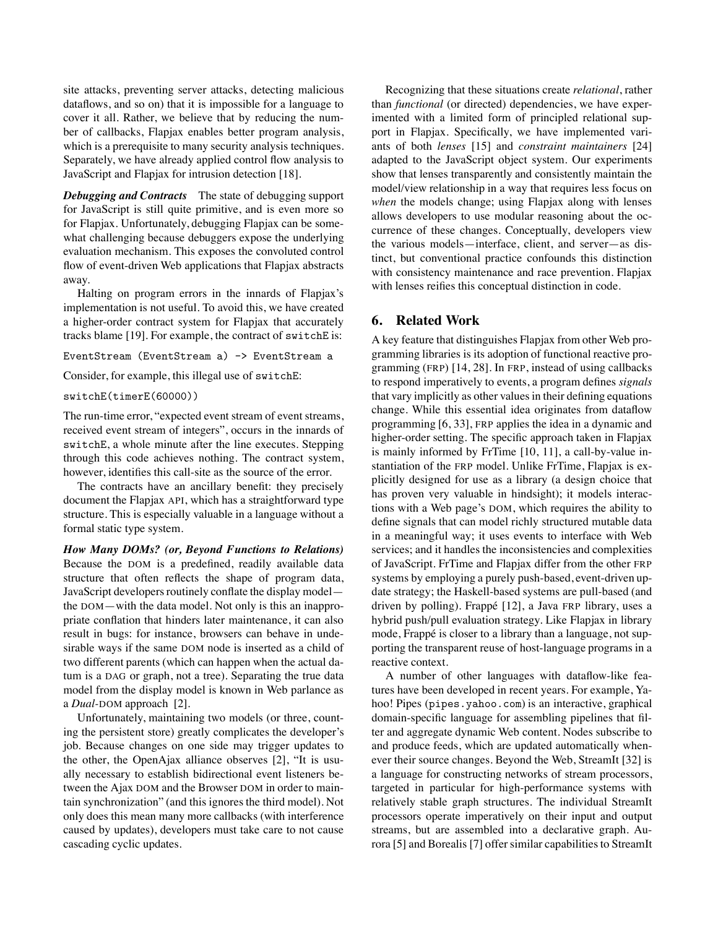site attacks, preventing server attacks, detecting malicious dataflows, and so on) that it is impossible for a language to cover it all. Rather, we believe that by reducing the number of callbacks, Flapjax enables better program analysis, which is a prerequisite to many security analysis techniques. Separately, we have already applied control flow analysis to JavaScript and Flapjax for intrusion detection [18].

*Debugging and Contracts* The state of debugging support for JavaScript is still quite primitive, and is even more so for Flapjax. Unfortunately, debugging Flapjax can be somewhat challenging because debuggers expose the underlying evaluation mechanism. This exposes the convoluted control flow of event-driven Web applications that Flapjax abstracts away.

Halting on program errors in the innards of Flapjax's implementation is not useful. To avoid this, we have created a higher-order contract system for Flapjax that accurately tracks blame [19]. For example, the contract of switchE is:

EventStream (EventStream a) -> EventStream a

Consider, for example, this illegal use of switchE:

switchE(timerE(60000))

The run-time error, "expected event stream of event streams, received event stream of integers", occurs in the innards of switchE, a whole minute after the line executes. Stepping through this code achieves nothing. The contract system, however, identifies this call-site as the source of the error.

The contracts have an ancillary benefit: they precisely document the Flapjax API, which has a straightforward type structure. This is especially valuable in a language without a formal static type system.

*How Many DOMs? (or, Beyond Functions to Relations)* Because the DOM is a predefined, readily available data structure that often reflects the shape of program data, JavaScript developers routinely conflate the display model the DOM—with the data model. Not only is this an inappropriate conflation that hinders later maintenance, it can also result in bugs: for instance, browsers can behave in undesirable ways if the same DOM node is inserted as a child of two different parents (which can happen when the actual datum is a DAG or graph, not a tree). Separating the true data model from the display model is known in Web parlance as a *Dual-*DOM approach [2].

Unfortunately, maintaining two models (or three, counting the persistent store) greatly complicates the developer's job. Because changes on one side may trigger updates to the other, the OpenAjax alliance observes [2], "It is usually necessary to establish bidirectional event listeners between the Ajax DOM and the Browser DOM in order to maintain synchronization" (and this ignores the third model). Not only does this mean many more callbacks (with interference caused by updates), developers must take care to not cause cascading cyclic updates.

Recognizing that these situations create *relational*, rather than *functional* (or directed) dependencies, we have experimented with a limited form of principled relational support in Flapjax. Specifically, we have implemented variants of both *lenses* [15] and *constraint maintainers* [24] adapted to the JavaScript object system. Our experiments show that lenses transparently and consistently maintain the model/view relationship in a way that requires less focus on *when* the models change; using Flapjax along with lenses allows developers to use modular reasoning about the occurrence of these changes. Conceptually, developers view the various models—interface, client, and server—as distinct, but conventional practice confounds this distinction with consistency maintenance and race prevention. Flapjax with lenses reifies this conceptual distinction in code.

# **6. Related Work**

A key feature that distinguishes Flapjax from other Web programming libraries is its adoption of functional reactive programming (FRP) [14, 28]. In FRP, instead of using callbacks to respond imperatively to events, a program defines *signals* that vary implicitly as other values in their defining equations change. While this essential idea originates from dataflow programming [6, 33], FRP applies the idea in a dynamic and higher-order setting. The specific approach taken in Flapjax is mainly informed by FrTime [10, 11], a call-by-value instantiation of the FRP model. Unlike FrTime, Flapjax is explicitly designed for use as a library (a design choice that has proven very valuable in hindsight); it models interactions with a Web page's DOM, which requires the ability to define signals that can model richly structured mutable data in a meaningful way; it uses events to interface with Web services; and it handles the inconsistencies and complexities of JavaScript. FrTime and Flapjax differ from the other FRP systems by employing a purely push-based, event-driven update strategy; the Haskell-based systems are pull-based (and driven by polling). Frappé [12], a Java FRP library, uses a hybrid push/pull evaluation strategy. Like Flapjax in library mode, Frappé is closer to a library than a language, not supporting the transparent reuse of host-language programs in a reactive context.

A number of other languages with dataflow-like features have been developed in recent years. For example, Yahoo! Pipes (pipes.yahoo.com) is an interactive, graphical domain-specific language for assembling pipelines that filter and aggregate dynamic Web content. Nodes subscribe to and produce feeds, which are updated automatically whenever their source changes. Beyond the Web, StreamIt [32] is a language for constructing networks of stream processors, targeted in particular for high-performance systems with relatively stable graph structures. The individual StreamIt processors operate imperatively on their input and output streams, but are assembled into a declarative graph. Aurora [5] and Borealis [7] offer similar capabilities to StreamIt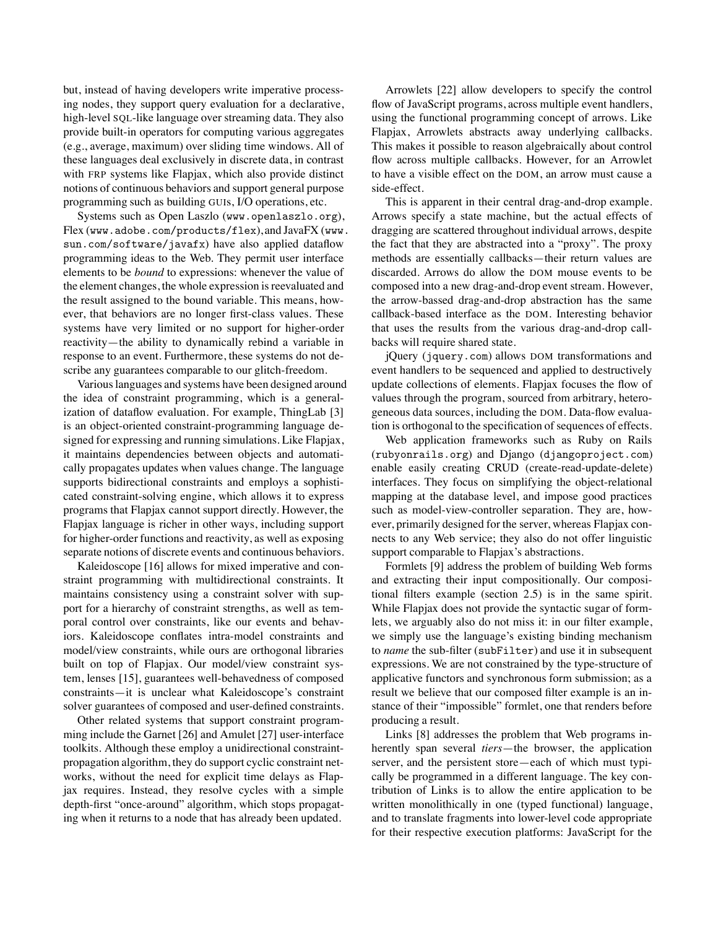but, instead of having developers write imperative processing nodes, they support query evaluation for a declarative, high-level SQL-like language over streaming data. They also provide built-in operators for computing various aggregates (e.g., average, maximum) over sliding time windows. All of these languages deal exclusively in discrete data, in contrast with FRP systems like Flapjax, which also provide distinct notions of continuous behaviors and support general purpose programming such as building GUIs, I/O operations, etc.

Systems such as Open Laszlo (www.openlaszlo.org), Flex (www.adobe.com/products/flex), and JavaFX (www. sun.com/software/javafx) have also applied dataflow programming ideas to the Web. They permit user interface elements to be *bound* to expressions: whenever the value of the element changes, the whole expression is reevaluated and the result assigned to the bound variable. This means, however, that behaviors are no longer first-class values. These systems have very limited or no support for higher-order reactivity—the ability to dynamically rebind a variable in response to an event. Furthermore, these systems do not describe any guarantees comparable to our glitch-freedom.

Various languages and systems have been designed around the idea of constraint programming, which is a generalization of dataflow evaluation. For example, ThingLab [3] is an object-oriented constraint-programming language designed for expressing and running simulations. Like Flapjax, it maintains dependencies between objects and automatically propagates updates when values change. The language supports bidirectional constraints and employs a sophisticated constraint-solving engine, which allows it to express programs that Flapjax cannot support directly. However, the Flapjax language is richer in other ways, including support for higher-order functions and reactivity, as well as exposing separate notions of discrete events and continuous behaviors.

Kaleidoscope [16] allows for mixed imperative and constraint programming with multidirectional constraints. It maintains consistency using a constraint solver with support for a hierarchy of constraint strengths, as well as temporal control over constraints, like our events and behaviors. Kaleidoscope conflates intra-model constraints and model/view constraints, while ours are orthogonal libraries built on top of Flapjax. Our model/view constraint system, lenses [15], guarantees well-behavedness of composed constraints—it is unclear what Kaleidoscope's constraint solver guarantees of composed and user-defined constraints.

Other related systems that support constraint programming include the Garnet [26] and Amulet [27] user-interface toolkits. Although these employ a unidirectional constraintpropagation algorithm, they do support cyclic constraint networks, without the need for explicit time delays as Flapjax requires. Instead, they resolve cycles with a simple depth-first "once-around" algorithm, which stops propagating when it returns to a node that has already been updated.

Arrowlets [22] allow developers to specify the control flow of JavaScript programs, across multiple event handlers, using the functional programming concept of arrows. Like Flapjax, Arrowlets abstracts away underlying callbacks. This makes it possible to reason algebraically about control flow across multiple callbacks. However, for an Arrowlet to have a visible effect on the DOM, an arrow must cause a side-effect.

This is apparent in their central drag-and-drop example. Arrows specify a state machine, but the actual effects of dragging are scattered throughout individual arrows, despite the fact that they are abstracted into a "proxy". The proxy methods are essentially callbacks—their return values are discarded. Arrows do allow the DOM mouse events to be composed into a new drag-and-drop event stream. However, the arrow-bassed drag-and-drop abstraction has the same callback-based interface as the DOM. Interesting behavior that uses the results from the various drag-and-drop callbacks will require shared state.

jQuery (jquery.com) allows DOM transformations and event handlers to be sequenced and applied to destructively update collections of elements. Flapjax focuses the flow of values through the program, sourced from arbitrary, heterogeneous data sources, including the DOM. Data-flow evaluation is orthogonal to the specification of sequences of effects.

Web application frameworks such as Ruby on Rails (rubyonrails.org) and Django (djangoproject.com) enable easily creating CRUD (create-read-update-delete) interfaces. They focus on simplifying the object-relational mapping at the database level, and impose good practices such as model-view-controller separation. They are, however, primarily designed for the server, whereas Flapjax connects to any Web service; they also do not offer linguistic support comparable to Flapjax's abstractions.

Formlets [9] address the problem of building Web forms and extracting their input compositionally. Our compositional filters example (section 2.5) is in the same spirit. While Flapjax does not provide the syntactic sugar of formlets, we arguably also do not miss it: in our filter example, we simply use the language's existing binding mechanism to *name* the sub-filter (subFilter) and use it in subsequent expressions. We are not constrained by the type-structure of applicative functors and synchronous form submission; as a result we believe that our composed filter example is an instance of their "impossible" formlet, one that renders before producing a result.

Links [8] addresses the problem that Web programs inherently span several *tiers*—the browser, the application server, and the persistent store—each of which must typically be programmed in a different language. The key contribution of Links is to allow the entire application to be written monolithically in one (typed functional) language, and to translate fragments into lower-level code appropriate for their respective execution platforms: JavaScript for the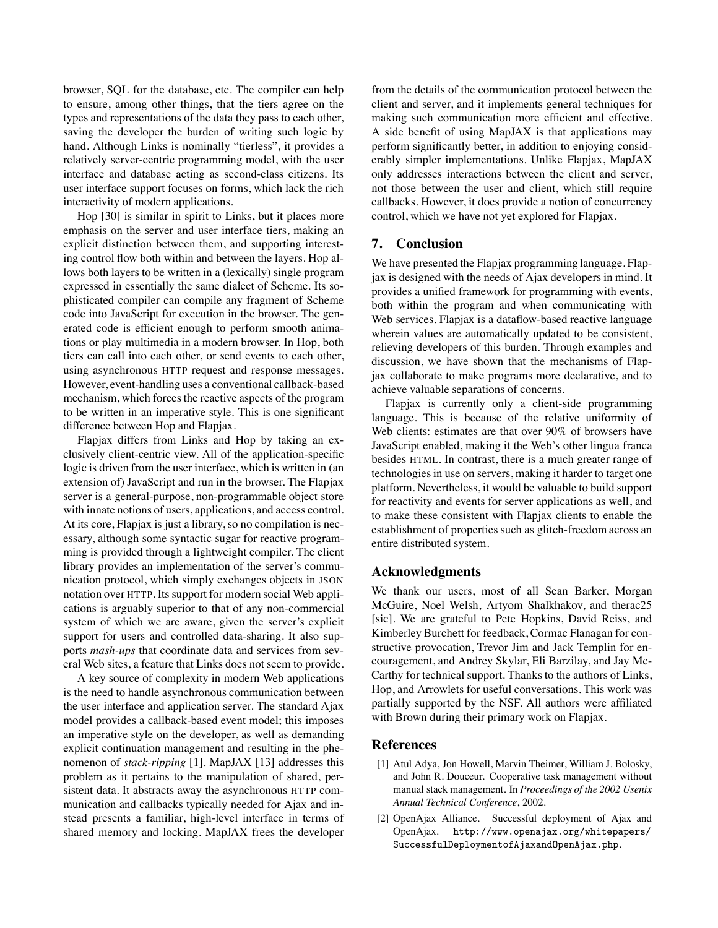browser, SQL for the database, etc. The compiler can help to ensure, among other things, that the tiers agree on the types and representations of the data they pass to each other, saving the developer the burden of writing such logic by hand. Although Links is nominally "tierless", it provides a relatively server-centric programming model, with the user interface and database acting as second-class citizens. Its user interface support focuses on forms, which lack the rich interactivity of modern applications.

Hop [30] is similar in spirit to Links, but it places more emphasis on the server and user interface tiers, making an explicit distinction between them, and supporting interesting control flow both within and between the layers. Hop allows both layers to be written in a (lexically) single program expressed in essentially the same dialect of Scheme. Its sophisticated compiler can compile any fragment of Scheme code into JavaScript for execution in the browser. The generated code is efficient enough to perform smooth animations or play multimedia in a modern browser. In Hop, both tiers can call into each other, or send events to each other, using asynchronous HTTP request and response messages. However, event-handling uses a conventional callback-based mechanism, which forces the reactive aspects of the program to be written in an imperative style. This is one significant difference between Hop and Flapjax.

Flapjax differs from Links and Hop by taking an exclusively client-centric view. All of the application-specific logic is driven from the user interface, which is written in (an extension of) JavaScript and run in the browser. The Flapjax server is a general-purpose, non-programmable object store with innate notions of users, applications, and access control. At its core, Flapjax is just a library, so no compilation is necessary, although some syntactic sugar for reactive programming is provided through a lightweight compiler. The client library provides an implementation of the server's communication protocol, which simply exchanges objects in JSON notation over HTTP. Its support for modern social Web applications is arguably superior to that of any non-commercial system of which we are aware, given the server's explicit support for users and controlled data-sharing. It also supports *mash-ups* that coordinate data and services from several Web sites, a feature that Links does not seem to provide.

A key source of complexity in modern Web applications is the need to handle asynchronous communication between the user interface and application server. The standard Ajax model provides a callback-based event model; this imposes an imperative style on the developer, as well as demanding explicit continuation management and resulting in the phenomenon of *stack-ripping* [1]. MapJAX [13] addresses this problem as it pertains to the manipulation of shared, persistent data. It abstracts away the asynchronous HTTP communication and callbacks typically needed for Ajax and instead presents a familiar, high-level interface in terms of shared memory and locking. MapJAX frees the developer from the details of the communication protocol between the client and server, and it implements general techniques for making such communication more efficient and effective. A side benefit of using MapJAX is that applications may perform significantly better, in addition to enjoying considerably simpler implementations. Unlike Flapjax, MapJAX only addresses interactions between the client and server, not those between the user and client, which still require callbacks. However, it does provide a notion of concurrency control, which we have not yet explored for Flapjax.

# **7. Conclusion**

We have presented the Flapjax programming language. Flapjax is designed with the needs of Ajax developers in mind. It provides a unified framework for programming with events, both within the program and when communicating with Web services. Flapjax is a dataflow-based reactive language wherein values are automatically updated to be consistent, relieving developers of this burden. Through examples and discussion, we have shown that the mechanisms of Flapjax collaborate to make programs more declarative, and to achieve valuable separations of concerns.

Flapjax is currently only a client-side programming language. This is because of the relative uniformity of Web clients: estimates are that over 90% of browsers have JavaScript enabled, making it the Web's other lingua franca besides HTML. In contrast, there is a much greater range of technologies in use on servers, making it harder to target one platform. Nevertheless, it would be valuable to build support for reactivity and events for server applications as well, and to make these consistent with Flapjax clients to enable the establishment of properties such as glitch-freedom across an entire distributed system.

## **Acknowledgments**

We thank our users, most of all Sean Barker, Morgan McGuire, Noel Welsh, Artyom Shalkhakov, and therac25 [sic]. We are grateful to Pete Hopkins, David Reiss, and Kimberley Burchett for feedback, Cormac Flanagan for constructive provocation, Trevor Jim and Jack Templin for encouragement, and Andrey Skylar, Eli Barzilay, and Jay Mc-Carthy for technical support. Thanks to the authors of Links, Hop, and Arrowlets for useful conversations. This work was partially supported by the NSF. All authors were affiliated with Brown during their primary work on Flapjax.

#### **References**

- [1] Atul Adya, Jon Howell, Marvin Theimer, William J. Bolosky, and John R. Douceur. Cooperative task management without manual stack management. In *Proceedings of the 2002 Usenix Annual Technical Conference*, 2002.
- [2] OpenAjax Alliance. Successful deployment of Ajax and OpenAjax. http://www.openajax.org/whitepapers/ SuccessfulDeploymentofAjaxandOpenAjax.php.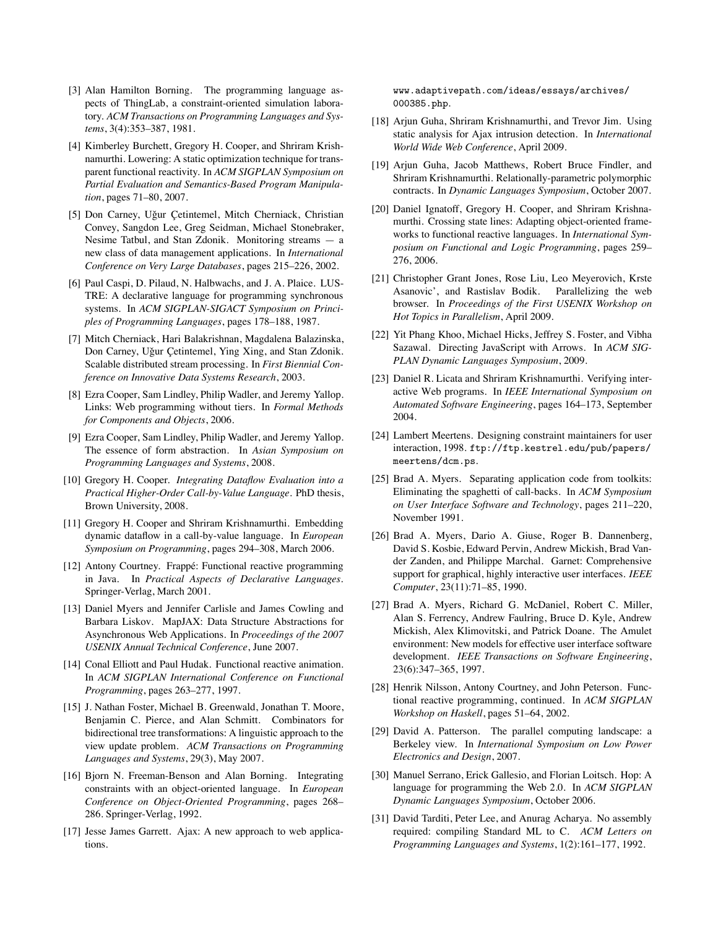- [3] Alan Hamilton Borning. The programming language aspects of ThingLab, a constraint-oriented simulation laboratory. *ACM Transactions on Programming Languages and Systems*, 3(4):353–387, 1981.
- [4] Kimberley Burchett, Gregory H. Cooper, and Shriram Krishnamurthi. Lowering: A static optimization technique for transparent functional reactivity. In *ACM SIGPLAN Symposium on Partial Evaluation and Semantics-Based Program Manipulation*, pages 71–80, 2007.
- [5] Don Carney, Uğur Çetintemel, Mitch Cherniack, Christian Convey, Sangdon Lee, Greg Seidman, Michael Stonebraker, Nesime Tatbul, and Stan Zdonik. Monitoring streams — a new class of data management applications. In *International Conference on Very Large Databases*, pages 215–226, 2002.
- [6] Paul Caspi, D. Pilaud, N. Halbwachs, and J. A. Plaice. LUS-TRE: A declarative language for programming synchronous systems. In *ACM SIGPLAN-SIGACT Symposium on Principles of Programming Languages*, pages 178–188, 1987.
- [7] Mitch Cherniack, Hari Balakrishnan, Magdalena Balazinska, Don Carney, Uğur Çetintemel, Ying Xing, and Stan Zdonik. Scalable distributed stream processing. In *First Biennial Conference on Innovative Data Systems Research*, 2003.
- [8] Ezra Cooper, Sam Lindley, Philip Wadler, and Jeremy Yallop. Links: Web programming without tiers. In *Formal Methods for Components and Objects*, 2006.
- [9] Ezra Cooper, Sam Lindley, Philip Wadler, and Jeremy Yallop. The essence of form abstraction. In *Asian Symposium on Programming Languages and Systems*, 2008.
- [10] Gregory H. Cooper. *Integrating Dataflow Evaluation into a Practical Higher-Order Call-by-Value Language*. PhD thesis, Brown University, 2008.
- [11] Gregory H. Cooper and Shriram Krishnamurthi. Embedding dynamic dataflow in a call-by-value language. In *European Symposium on Programming*, pages 294–308, March 2006.
- [12] Antony Courtney. Frappé: Functional reactive programming in Java. In *Practical Aspects of Declarative Languages*. Springer-Verlag, March 2001.
- [13] Daniel Myers and Jennifer Carlisle and James Cowling and Barbara Liskov. MapJAX: Data Structure Abstractions for Asynchronous Web Applications. In *Proceedings of the 2007 USENIX Annual Technical Conference*, June 2007.
- [14] Conal Elliott and Paul Hudak. Functional reactive animation. In *ACM SIGPLAN International Conference on Functional Programming*, pages 263–277, 1997.
- [15] J. Nathan Foster, Michael B. Greenwald, Jonathan T. Moore, Benjamin C. Pierce, and Alan Schmitt. Combinators for bidirectional tree transformations: A linguistic approach to the view update problem. *ACM Transactions on Programming Languages and Systems*, 29(3), May 2007.
- [16] Bjorn N. Freeman-Benson and Alan Borning. Integrating constraints with an object-oriented language. In *European Conference on Object-Oriented Programming*, pages 268– 286. Springer-Verlag, 1992.
- [17] Jesse James Garrett. Ajax: A new approach to web applications.

www.adaptivepath.com/ideas/essays/archives/ 000385.php.

- [18] Arjun Guha, Shriram Krishnamurthi, and Trevor Jim. Using static analysis for Ajax intrusion detection. In *International World Wide Web Conference*, April 2009.
- [19] Arjun Guha, Jacob Matthews, Robert Bruce Findler, and Shriram Krishnamurthi. Relationally-parametric polymorphic contracts. In *Dynamic Languages Symposium*, October 2007.
- [20] Daniel Ignatoff, Gregory H. Cooper, and Shriram Krishnamurthi. Crossing state lines: Adapting object-oriented frameworks to functional reactive languages. In *International Symposium on Functional and Logic Programming*, pages 259– 276, 2006.
- [21] Christopher Grant Jones, Rose Liu, Leo Meyerovich, Krste Asanovic', and Rastislav Bodik. Parallelizing the web browser. In *Proceedings of the First USENIX Workshop on Hot Topics in Parallelism*, April 2009.
- [22] Yit Phang Khoo, Michael Hicks, Jeffrey S. Foster, and Vibha Sazawal. Directing JavaScript with Arrows. In *ACM SIG-PLAN Dynamic Languages Symposium*, 2009.
- [23] Daniel R. Licata and Shriram Krishnamurthi. Verifying interactive Web programs. In *IEEE International Symposium on Automated Software Engineering*, pages 164–173, September 2004.
- [24] Lambert Meertens. Designing constraint maintainers for user interaction, 1998. ftp://ftp.kestrel.edu/pub/papers/ meertens/dcm.ps.
- [25] Brad A. Myers. Separating application code from toolkits: Eliminating the spaghetti of call-backs. In *ACM Symposium on User Interface Software and Technology*, pages 211–220, November 1991.
- [26] Brad A. Myers, Dario A. Giuse, Roger B. Dannenberg, David S. Kosbie, Edward Pervin, Andrew Mickish, Brad Vander Zanden, and Philippe Marchal. Garnet: Comprehensive support for graphical, highly interactive user interfaces. *IEEE Computer*, 23(11):71–85, 1990.
- [27] Brad A. Myers, Richard G. McDaniel, Robert C. Miller, Alan S. Ferrency, Andrew Faulring, Bruce D. Kyle, Andrew Mickish, Alex Klimovitski, and Patrick Doane. The Amulet environment: New models for effective user interface software development. *IEEE Transactions on Software Engineering*, 23(6):347–365, 1997.
- [28] Henrik Nilsson, Antony Courtney, and John Peterson. Functional reactive programming, continued. In *ACM SIGPLAN Workshop on Haskell*, pages 51–64, 2002.
- [29] David A. Patterson. The parallel computing landscape: a Berkeley view. In *International Symposium on Low Power Electronics and Design*, 2007.
- [30] Manuel Serrano, Erick Gallesio, and Florian Loitsch. Hop: A language for programming the Web 2.0. In *ACM SIGPLAN Dynamic Languages Symposium*, October 2006.
- [31] David Tarditi, Peter Lee, and Anurag Acharya. No assembly required: compiling Standard ML to C. *ACM Letters on Programming Languages and Systems*, 1(2):161–177, 1992.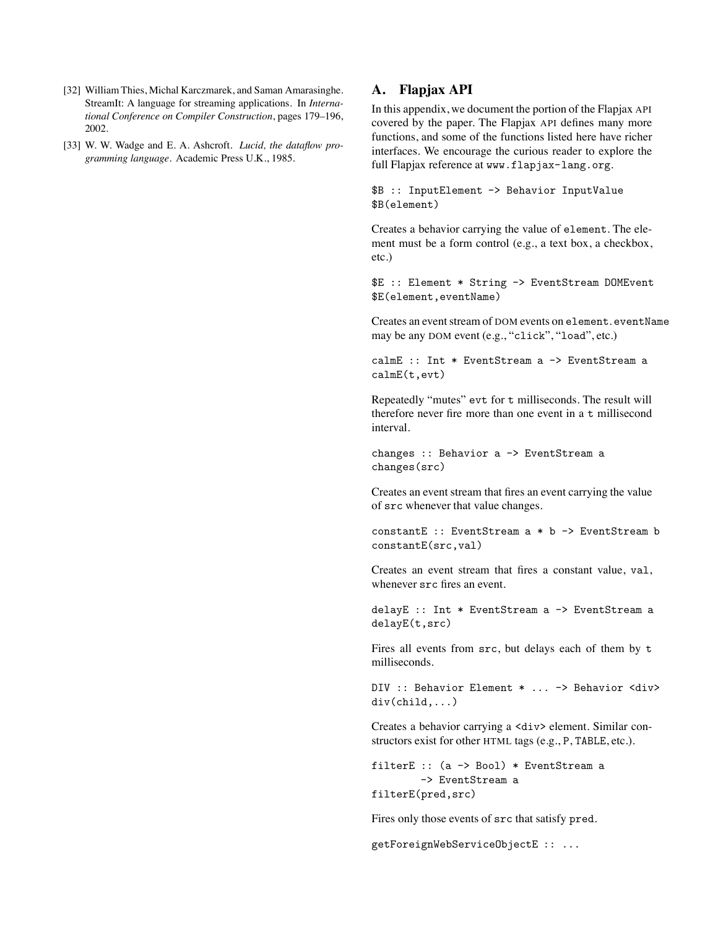- [32] William Thies, Michal Karczmarek, and Saman Amarasinghe. StreamIt: A language for streaming applications. In *International Conference on Compiler Construction*, pages 179–196, 2002.
- [33] W. W. Wadge and E. A. Ashcroft. *Lucid, the dataflow programming language*. Academic Press U.K., 1985.

# **A. Flapjax API**

In this appendix, we document the portion of the Flapjax API covered by the paper. The Flapjax API defines many more functions, and some of the functions listed here have richer interfaces. We encourage the curious reader to explore the full Flapjax reference at www.flapjax-lang.org.

\$B :: InputElement -> Behavior InputValue \$B(element)

Creates a behavior carrying the value of element. The element must be a form control (e.g., a text box, a checkbox, etc.)

\$E :: Element \* String -> EventStream DOMEvent \$E(element,eventName)

Creates an event stream of DOM events on element. eventName may be any DOM event (e.g., "click", "load", etc.)

calmE :: Int \* EventStream a -> EventStream a calmE(t,evt)

Repeatedly "mutes" evt for t milliseconds. The result will therefore never fire more than one event in a t millisecond interval.

changes :: Behavior a -> EventStream a changes(src)

Creates an event stream that fires an event carrying the value of src whenever that value changes.

constantE :: EventStream a \* b -> EventStream b constantE(src,val)

Creates an event stream that fires a constant value, val, whenever src fires an event.

delayE :: Int \* EventStream a -> EventStream a delayE(t,src)

Fires all events from src, but delays each of them by t milliseconds.

DIV :: Behavior Element \* ... -> Behavior <div>  $div(cchild,...)$ 

Creates a behavior carrying a <div> element. Similar constructors exist for other HTML tags (e.g., P, TABLE, etc.).

filterE :: (a -> Bool) \* EventStream a -> EventStream a filterE(pred,src)

Fires only those events of src that satisfy pred.

getForeignWebServiceObjectE :: ...